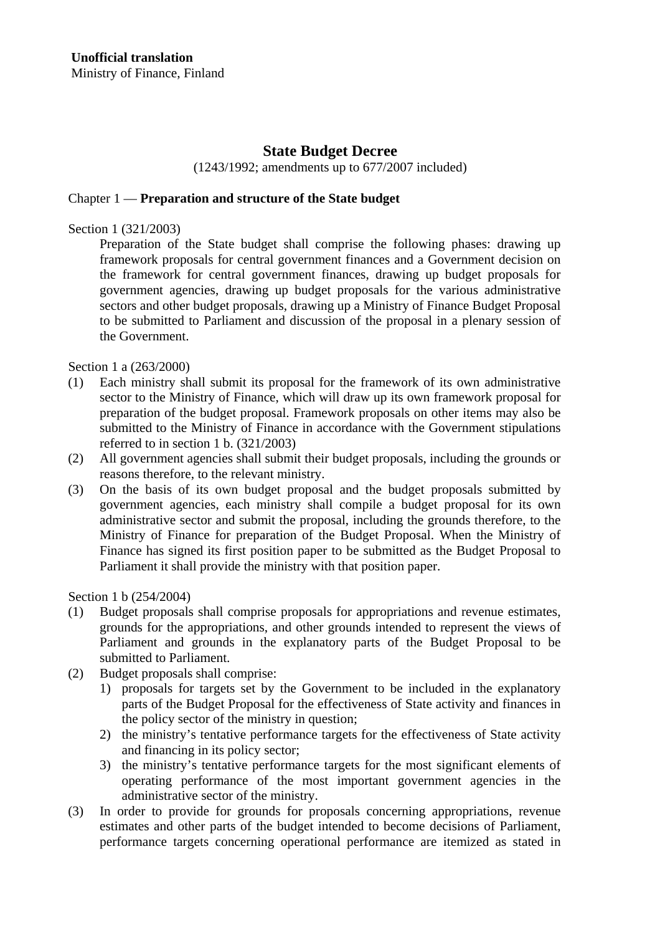# **State Budget Decree**

(1243/1992; amendments up to 677/2007 included)

#### Chapter 1 — **Preparation and structure of the State budget**

Section 1 (321/2003)

Preparation of the State budget shall comprise the following phases: drawing up framework proposals for central government finances and a Government decision on the framework for central government finances, drawing up budget proposals for government agencies, drawing up budget proposals for the various administrative sectors and other budget proposals, drawing up a Ministry of Finance Budget Proposal to be submitted to Parliament and discussion of the proposal in a plenary session of the Government.

Section 1 a (263/2000)

- (1) Each ministry shall submit its proposal for the framework of its own administrative sector to the Ministry of Finance, which will draw up its own framework proposal for preparation of the budget proposal. Framework proposals on other items may also be submitted to the Ministry of Finance in accordance with the Government stipulations referred to in section 1 b. (321/2003)
- (2) All government agencies shall submit their budget proposals, including the grounds or reasons therefore, to the relevant ministry.
- (3) On the basis of its own budget proposal and the budget proposals submitted by government agencies, each ministry shall compile a budget proposal for its own administrative sector and submit the proposal, including the grounds therefore, to the Ministry of Finance for preparation of the Budget Proposal. When the Ministry of Finance has signed its first position paper to be submitted as the Budget Proposal to Parliament it shall provide the ministry with that position paper.

Section 1 b (254/2004)

- (1) Budget proposals shall comprise proposals for appropriations and revenue estimates, grounds for the appropriations, and other grounds intended to represent the views of Parliament and grounds in the explanatory parts of the Budget Proposal to be submitted to Parliament.
- (2) Budget proposals shall comprise:
	- 1) proposals for targets set by the Government to be included in the explanatory parts of the Budget Proposal for the effectiveness of State activity and finances in the policy sector of the ministry in question;
	- 2) the ministry's tentative performance targets for the effectiveness of State activity and financing in its policy sector;
	- 3) the ministry's tentative performance targets for the most significant elements of operating performance of the most important government agencies in the administrative sector of the ministry.
- (3) In order to provide for grounds for proposals concerning appropriations, revenue estimates and other parts of the budget intended to become decisions of Parliament, performance targets concerning operational performance are itemized as stated in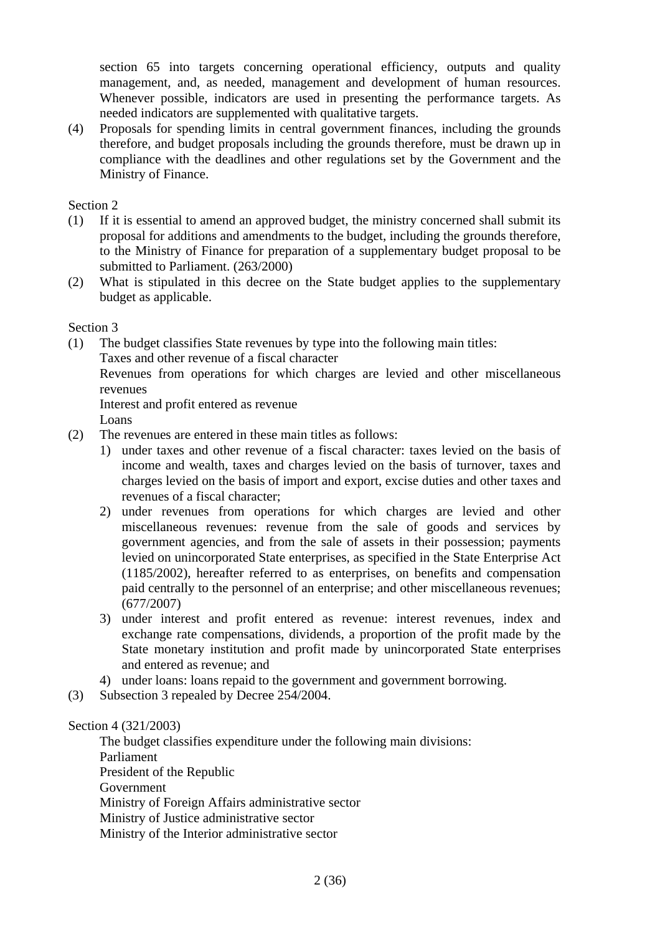section 65 into targets concerning operational efficiency, outputs and quality management, and, as needed, management and development of human resources. Whenever possible, indicators are used in presenting the performance targets. As needed indicators are supplemented with qualitative targets.

(4) Proposals for spending limits in central government finances, including the grounds therefore, and budget proposals including the grounds therefore, must be drawn up in compliance with the deadlines and other regulations set by the Government and the Ministry of Finance.

Section 2

- (1) If it is essential to amend an approved budget, the ministry concerned shall submit its proposal for additions and amendments to the budget, including the grounds therefore, to the Ministry of Finance for preparation of a supplementary budget proposal to be submitted to Parliament. (263/2000)
- (2) What is stipulated in this decree on the State budget applies to the supplementary budget as applicable.

Section 3

(1) The budget classifies State revenues by type into the following main titles: Taxes and other revenue of a fiscal character

 Revenues from operations for which charges are levied and other miscellaneous revenues

Interest and profit entered as revenue

Loans

- (2) The revenues are entered in these main titles as follows:
	- 1) under taxes and other revenue of a fiscal character: taxes levied on the basis of income and wealth, taxes and charges levied on the basis of turnover, taxes and charges levied on the basis of import and export, excise duties and other taxes and revenues of a fiscal character;
	- 2) under revenues from operations for which charges are levied and other miscellaneous revenues: revenue from the sale of goods and services by government agencies, and from the sale of assets in their possession; payments levied on unincorporated State enterprises, as specified in the State Enterprise Act (1185/2002), hereafter referred to as enterprises, on benefits and compensation paid centrally to the personnel of an enterprise; and other miscellaneous revenues; (677/2007)
	- 3) under interest and profit entered as revenue: interest revenues, index and exchange rate compensations, dividends, a proportion of the profit made by the State monetary institution and profit made by unincorporated State enterprises and entered as revenue; and
	- 4) under loans: loans repaid to the government and government borrowing.
- (3) Subsection 3 repealed by Decree 254/2004.

Section 4 (321/2003)

 The budget classifies expenditure under the following main divisions: Parliament President of the Republic Government Ministry of Foreign Affairs administrative sector Ministry of Justice administrative sector Ministry of the Interior administrative sector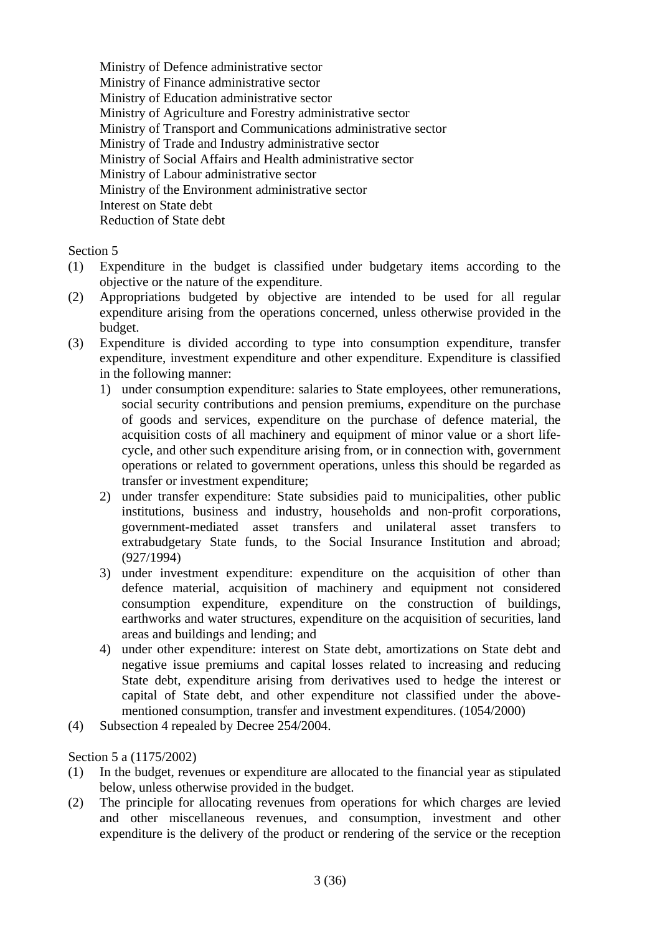Ministry of Defence administrative sector Ministry of Finance administrative sector Ministry of Education administrative sector Ministry of Agriculture and Forestry administrative sector Ministry of Transport and Communications administrative sector Ministry of Trade and Industry administrative sector Ministry of Social Affairs and Health administrative sector Ministry of Labour administrative sector Ministry of the Environment administrative sector Interest on State debt Reduction of State debt

# Section 5

- (1) Expenditure in the budget is classified under budgetary items according to the objective or the nature of the expenditure.
- (2) Appropriations budgeted by objective are intended to be used for all regular expenditure arising from the operations concerned, unless otherwise provided in the budget.
- (3) Expenditure is divided according to type into consumption expenditure, transfer expenditure, investment expenditure and other expenditure. Expenditure is classified in the following manner:
	- 1) under consumption expenditure: salaries to State employees, other remunerations, social security contributions and pension premiums, expenditure on the purchase of goods and services, expenditure on the purchase of defence material, the acquisition costs of all machinery and equipment of minor value or a short lifecycle, and other such expenditure arising from, or in connection with, government operations or related to government operations, unless this should be regarded as transfer or investment expenditure;
	- 2) under transfer expenditure: State subsidies paid to municipalities, other public institutions, business and industry, households and non-profit corporations, government-mediated asset transfers and unilateral asset transfers to extrabudgetary State funds, to the Social Insurance Institution and abroad; (927/1994)
	- 3) under investment expenditure: expenditure on the acquisition of other than defence material, acquisition of machinery and equipment not considered consumption expenditure, expenditure on the construction of buildings, earthworks and water structures, expenditure on the acquisition of securities, land areas and buildings and lending; and
	- 4) under other expenditure: interest on State debt, amortizations on State debt and negative issue premiums and capital losses related to increasing and reducing State debt, expenditure arising from derivatives used to hedge the interest or capital of State debt, and other expenditure not classified under the abovementioned consumption, transfer and investment expenditures. (1054/2000)
- (4) Subsection 4 repealed by Decree 254/2004.

Section 5 a (1175/2002)

- (1) In the budget, revenues or expenditure are allocated to the financial year as stipulated below, unless otherwise provided in the budget.
- (2) The principle for allocating revenues from operations for which charges are levied and other miscellaneous revenues, and consumption, investment and other expenditure is the delivery of the product or rendering of the service or the reception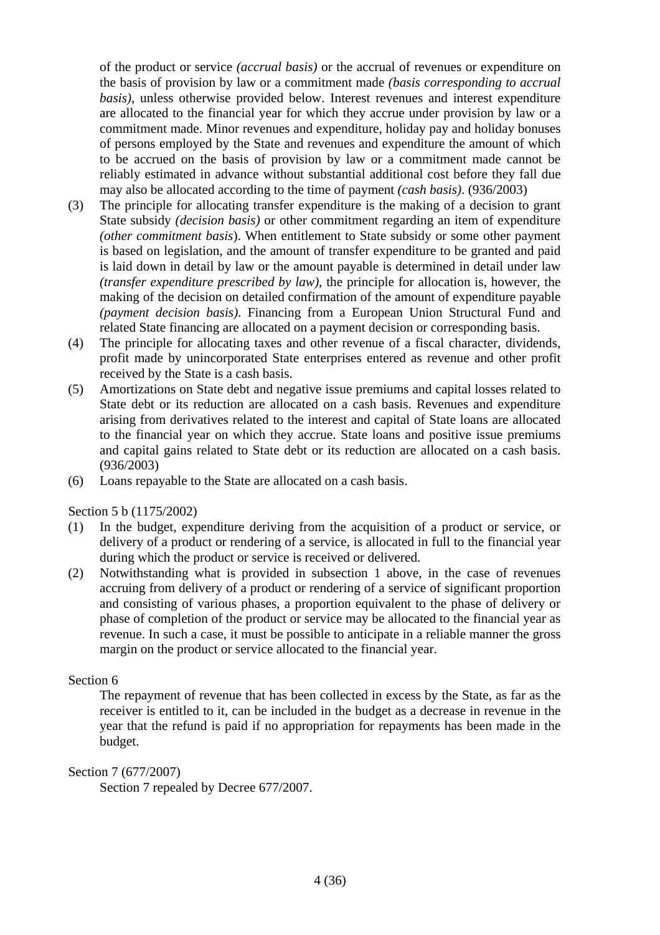of the product or service *(accrual basis)* or the accrual of revenues or expenditure on the basis of provision by law or a commitment made *(basis corresponding to accrual basis)*, unless otherwise provided below. Interest revenues and interest expenditure are allocated to the financial year for which they accrue under provision by law or a commitment made. Minor revenues and expenditure, holiday pay and holiday bonuses of persons employed by the State and revenues and expenditure the amount of which to be accrued on the basis of provision by law or a commitment made cannot be reliably estimated in advance without substantial additional cost before they fall due may also be allocated according to the time of payment *(cash basis)*. (936/2003)

- (3) The principle for allocating transfer expenditure is the making of a decision to grant State subsidy *(decision basis)* or other commitment regarding an item of expenditure *(other commitment basis*). When entitlement to State subsidy or some other payment is based on legislation, and the amount of transfer expenditure to be granted and paid is laid down in detail by law or the amount payable is determined in detail under law *(transfer expenditure prescribed by law),* the principle for allocation is, however, the making of the decision on detailed confirmation of the amount of expenditure payable *(payment decision basis)*. Financing from a European Union Structural Fund and related State financing are allocated on a payment decision or corresponding basis.
- (4) The principle for allocating taxes and other revenue of a fiscal character, dividends, profit made by unincorporated State enterprises entered as revenue and other profit received by the State is a cash basis.
- (5) Amortizations on State debt and negative issue premiums and capital losses related to State debt or its reduction are allocated on a cash basis. Revenues and expenditure arising from derivatives related to the interest and capital of State loans are allocated to the financial year on which they accrue. State loans and positive issue premiums and capital gains related to State debt or its reduction are allocated on a cash basis. (936/2003)
- (6) Loans repayable to the State are allocated on a cash basis.

#### Section 5 b (1175/2002)

- (1) In the budget, expenditure deriving from the acquisition of a product or service, or delivery of a product or rendering of a service, is allocated in full to the financial year during which the product or service is received or delivered.
- (2) Notwithstanding what is provided in subsection 1 above, in the case of revenues accruing from delivery of a product or rendering of a service of significant proportion and consisting of various phases, a proportion equivalent to the phase of delivery or phase of completion of the product or service may be allocated to the financial year as revenue. In such a case, it must be possible to anticipate in a reliable manner the gross margin on the product or service allocated to the financial year.

# Section 6

 The repayment of revenue that has been collected in excess by the State, as far as the receiver is entitled to it, can be included in the budget as a decrease in revenue in the year that the refund is paid if no appropriation for repayments has been made in the budget.

#### Section 7 (677/2007)

Section 7 repealed by Decree 677/2007.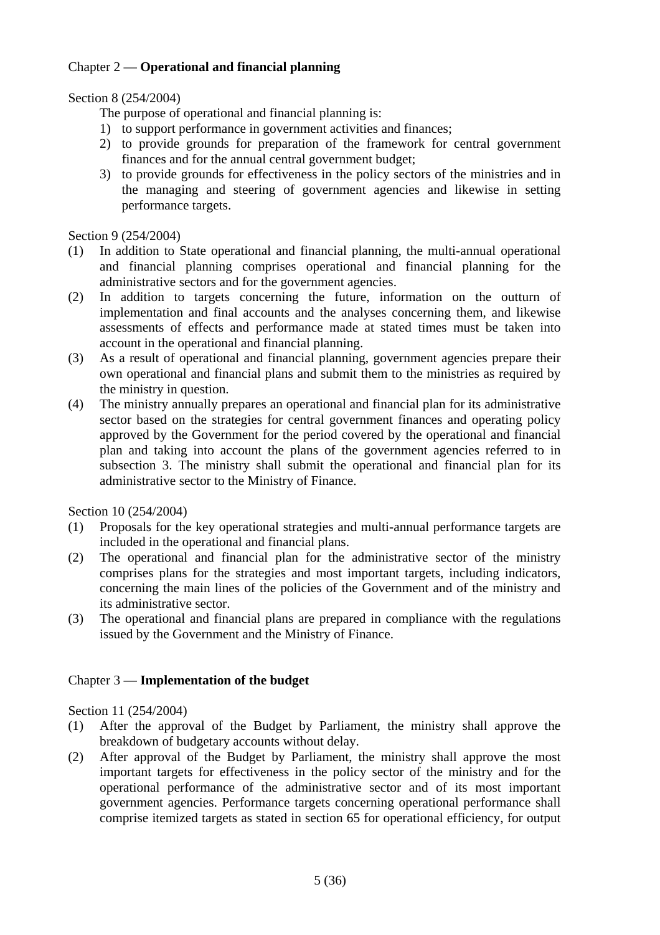# Chapter 2 — **Operational and financial planning**

# Section 8 (254/2004)

The purpose of operational and financial planning is:

- 1) to support performance in government activities and finances;
- 2) to provide grounds for preparation of the framework for central government finances and for the annual central government budget;
- 3) to provide grounds for effectiveness in the policy sectors of the ministries and in the managing and steering of government agencies and likewise in setting performance targets.

# Section 9 (254/2004)

- (1) In addition to State operational and financial planning, the multi-annual operational and financial planning comprises operational and financial planning for the administrative sectors and for the government agencies.
- (2) In addition to targets concerning the future, information on the outturn of implementation and final accounts and the analyses concerning them, and likewise assessments of effects and performance made at stated times must be taken into account in the operational and financial planning.
- (3) As a result of operational and financial planning, government agencies prepare their own operational and financial plans and submit them to the ministries as required by the ministry in question.
- (4) The ministry annually prepares an operational and financial plan for its administrative sector based on the strategies for central government finances and operating policy approved by the Government for the period covered by the operational and financial plan and taking into account the plans of the government agencies referred to in subsection 3. The ministry shall submit the operational and financial plan for its administrative sector to the Ministry of Finance.

Section 10 (254/2004)

- (1) Proposals for the key operational strategies and multi-annual performance targets are included in the operational and financial plans.
- (2) The operational and financial plan for the administrative sector of the ministry comprises plans for the strategies and most important targets, including indicators, concerning the main lines of the policies of the Government and of the ministry and its administrative sector.
- (3) The operational and financial plans are prepared in compliance with the regulations issued by the Government and the Ministry of Finance.

# Chapter 3 — **Implementation of the budget**

Section 11 (254/2004)

- (1) After the approval of the Budget by Parliament, the ministry shall approve the breakdown of budgetary accounts without delay.
- (2) After approval of the Budget by Parliament, the ministry shall approve the most important targets for effectiveness in the policy sector of the ministry and for the operational performance of the administrative sector and of its most important government agencies. Performance targets concerning operational performance shall comprise itemized targets as stated in section 65 for operational efficiency, for output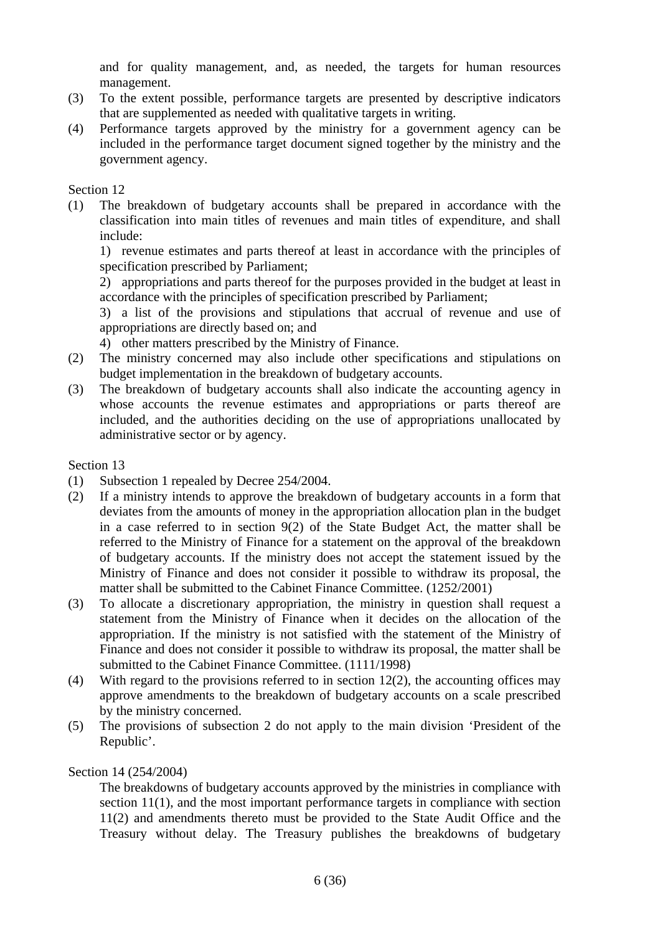and for quality management, and, as needed, the targets for human resources management.

- (3) To the extent possible, performance targets are presented by descriptive indicators that are supplemented as needed with qualitative targets in writing.
- (4) Performance targets approved by the ministry for a government agency can be included in the performance target document signed together by the ministry and the government agency.

#### Section 12

(1) The breakdown of budgetary accounts shall be prepared in accordance with the classification into main titles of revenues and main titles of expenditure, and shall include:

 1) revenue estimates and parts thereof at least in accordance with the principles of specification prescribed by Parliament;

 2) appropriations and parts thereof for the purposes provided in the budget at least in accordance with the principles of specification prescribed by Parliament;

 3) a list of the provisions and stipulations that accrual of revenue and use of appropriations are directly based on; and

4) other matters prescribed by the Ministry of Finance.

- (2) The ministry concerned may also include other specifications and stipulations on budget implementation in the breakdown of budgetary accounts.
- (3) The breakdown of budgetary accounts shall also indicate the accounting agency in whose accounts the revenue estimates and appropriations or parts thereof are included, and the authorities deciding on the use of appropriations unallocated by administrative sector or by agency.

#### Section 13

- (1) Subsection 1 repealed by Decree 254/2004.
- (2) If a ministry intends to approve the breakdown of budgetary accounts in a form that deviates from the amounts of money in the appropriation allocation plan in the budget in a case referred to in section 9(2) of the State Budget Act, the matter shall be referred to the Ministry of Finance for a statement on the approval of the breakdown of budgetary accounts. If the ministry does not accept the statement issued by the Ministry of Finance and does not consider it possible to withdraw its proposal, the matter shall be submitted to the Cabinet Finance Committee. (1252/2001)
- (3) To allocate a discretionary appropriation, the ministry in question shall request a statement from the Ministry of Finance when it decides on the allocation of the appropriation. If the ministry is not satisfied with the statement of the Ministry of Finance and does not consider it possible to withdraw its proposal, the matter shall be submitted to the Cabinet Finance Committee. (1111/1998)
- (4) With regard to the provisions referred to in section 12(2), the accounting offices may approve amendments to the breakdown of budgetary accounts on a scale prescribed by the ministry concerned.
- (5) The provisions of subsection 2 do not apply to the main division 'President of the Republic'.

#### Section 14 (254/2004)

 The breakdowns of budgetary accounts approved by the ministries in compliance with section 11(1), and the most important performance targets in compliance with section 11(2) and amendments thereto must be provided to the State Audit Office and the Treasury without delay. The Treasury publishes the breakdowns of budgetary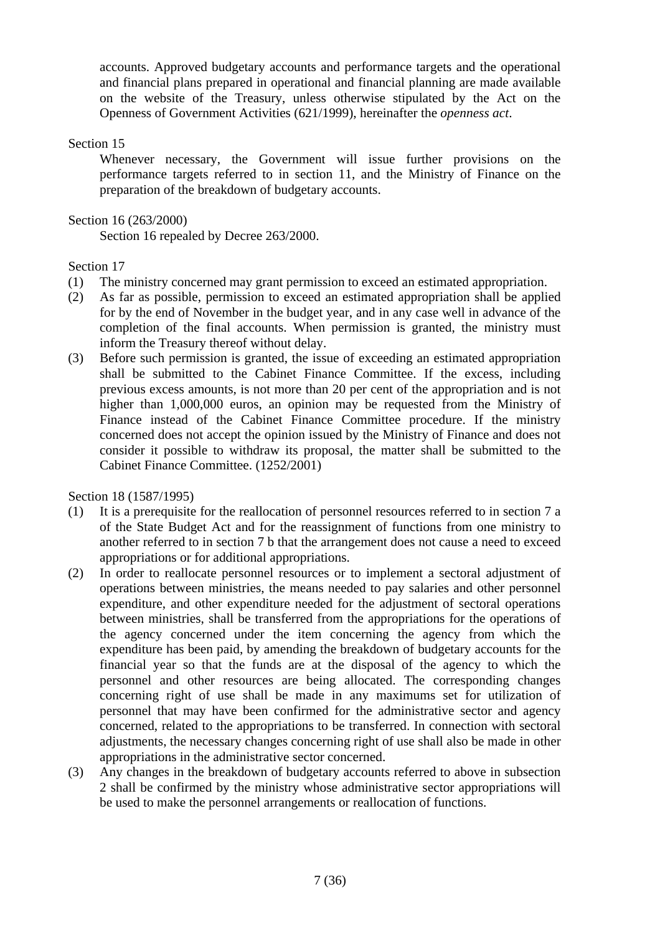accounts. Approved budgetary accounts and performance targets and the operational and financial plans prepared in operational and financial planning are made available on the website of the Treasury, unless otherwise stipulated by the Act on the Openness of Government Activities (621/1999), hereinafter the *openness act*.

# Section 15

 Whenever necessary, the Government will issue further provisions on the performance targets referred to in section 11, and the Ministry of Finance on the preparation of the breakdown of budgetary accounts.

Section 16 (263/2000)

Section 16 repealed by Decree 263/2000.

# Section 17

- (1) The ministry concerned may grant permission to exceed an estimated appropriation.
- (2) As far as possible, permission to exceed an estimated appropriation shall be applied for by the end of November in the budget year, and in any case well in advance of the completion of the final accounts. When permission is granted, the ministry must inform the Treasury thereof without delay.
- (3) Before such permission is granted, the issue of exceeding an estimated appropriation shall be submitted to the Cabinet Finance Committee. If the excess, including previous excess amounts, is not more than 20 per cent of the appropriation and is not higher than 1,000,000 euros, an opinion may be requested from the Ministry of Finance instead of the Cabinet Finance Committee procedure. If the ministry concerned does not accept the opinion issued by the Ministry of Finance and does not consider it possible to withdraw its proposal, the matter shall be submitted to the Cabinet Finance Committee. (1252/2001)

Section 18 (1587/1995)

- (1) It is a prerequisite for the reallocation of personnel resources referred to in section 7 a of the State Budget Act and for the reassignment of functions from one ministry to another referred to in section 7 b that the arrangement does not cause a need to exceed appropriations or for additional appropriations.
- (2) In order to reallocate personnel resources or to implement a sectoral adjustment of operations between ministries, the means needed to pay salaries and other personnel expenditure, and other expenditure needed for the adjustment of sectoral operations between ministries, shall be transferred from the appropriations for the operations of the agency concerned under the item concerning the agency from which the expenditure has been paid, by amending the breakdown of budgetary accounts for the financial year so that the funds are at the disposal of the agency to which the personnel and other resources are being allocated. The corresponding changes concerning right of use shall be made in any maximums set for utilization of personnel that may have been confirmed for the administrative sector and agency concerned, related to the appropriations to be transferred. In connection with sectoral adjustments, the necessary changes concerning right of use shall also be made in other appropriations in the administrative sector concerned.
- (3) Any changes in the breakdown of budgetary accounts referred to above in subsection 2 shall be confirmed by the ministry whose administrative sector appropriations will be used to make the personnel arrangements or reallocation of functions.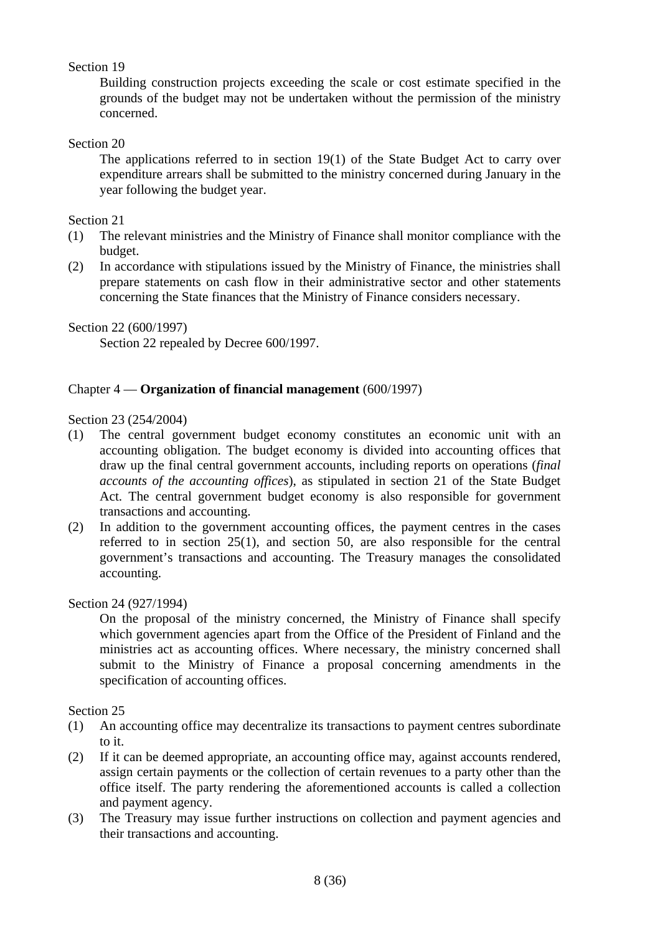# Section 19

 Building construction projects exceeding the scale or cost estimate specified in the grounds of the budget may not be undertaken without the permission of the ministry concerned.

# Section 20

 The applications referred to in section 19(1) of the State Budget Act to carry over expenditure arrears shall be submitted to the ministry concerned during January in the year following the budget year.

### Section 21

- (1) The relevant ministries and the Ministry of Finance shall monitor compliance with the budget.
- (2) In accordance with stipulations issued by the Ministry of Finance, the ministries shall prepare statements on cash flow in their administrative sector and other statements concerning the State finances that the Ministry of Finance considers necessary.

Section 22 (600/1997)

Section 22 repealed by Decree 600/1997.

# Chapter 4 — **Organization of financial management** (600/1997)

#### Section 23 (254/2004)

- (1) The central government budget economy constitutes an economic unit with an accounting obligation. The budget economy is divided into accounting offices that draw up the final central government accounts, including reports on operations (*final accounts of the accounting offices*), as stipulated in section 21 of the State Budget Act. The central government budget economy is also responsible for government transactions and accounting.
- (2) In addition to the government accounting offices, the payment centres in the cases referred to in section 25(1), and section 50, are also responsible for the central government's transactions and accounting. The Treasury manages the consolidated accounting.

#### Section 24 (927/1994)

 On the proposal of the ministry concerned, the Ministry of Finance shall specify which government agencies apart from the Office of the President of Finland and the ministries act as accounting offices. Where necessary, the ministry concerned shall submit to the Ministry of Finance a proposal concerning amendments in the specification of accounting offices.

Section 25

- (1) An accounting office may decentralize its transactions to payment centres subordinate to it.
- (2) If it can be deemed appropriate, an accounting office may, against accounts rendered, assign certain payments or the collection of certain revenues to a party other than the office itself. The party rendering the aforementioned accounts is called a collection and payment agency.
- (3) The Treasury may issue further instructions on collection and payment agencies and their transactions and accounting.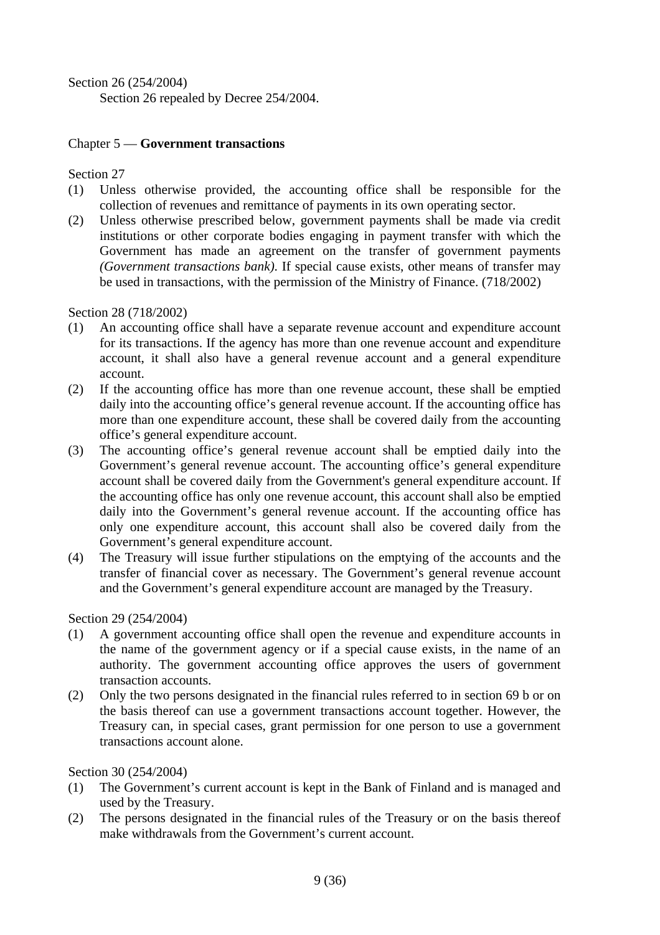Section 26 (254/2004) Section 26 repealed by Decree 254/2004.

# Chapter 5 — **Government transactions**

Section 27

- (1) Unless otherwise provided, the accounting office shall be responsible for the collection of revenues and remittance of payments in its own operating sector.
- (2) Unless otherwise prescribed below, government payments shall be made via credit institutions or other corporate bodies engaging in payment transfer with which the Government has made an agreement on the transfer of government payments *(Government transactions bank)*. If special cause exists, other means of transfer may be used in transactions, with the permission of the Ministry of Finance. (718/2002)

Section 28 (718/2002)

- (1) An accounting office shall have a separate revenue account and expenditure account for its transactions. If the agency has more than one revenue account and expenditure account, it shall also have a general revenue account and a general expenditure account.
- (2) If the accounting office has more than one revenue account, these shall be emptied daily into the accounting office's general revenue account. If the accounting office has more than one expenditure account, these shall be covered daily from the accounting office's general expenditure account.
- (3) The accounting office's general revenue account shall be emptied daily into the Government's general revenue account. The accounting office's general expenditure account shall be covered daily from the Government's general expenditure account. If the accounting office has only one revenue account, this account shall also be emptied daily into the Government's general revenue account. If the accounting office has only one expenditure account, this account shall also be covered daily from the Government's general expenditure account.
- (4) The Treasury will issue further stipulations on the emptying of the accounts and the transfer of financial cover as necessary. The Government's general revenue account and the Government's general expenditure account are managed by the Treasury.

Section 29 (254/2004)

- (1) A government accounting office shall open the revenue and expenditure accounts in the name of the government agency or if a special cause exists, in the name of an authority. The government accounting office approves the users of government transaction accounts.
- (2) Only the two persons designated in the financial rules referred to in section 69 b or on the basis thereof can use a government transactions account together. However, the Treasury can, in special cases, grant permission for one person to use a government transactions account alone.

Section 30 (254/2004)

- (1) The Government's current account is kept in the Bank of Finland and is managed and used by the Treasury.
- (2) The persons designated in the financial rules of the Treasury or on the basis thereof make withdrawals from the Government's current account.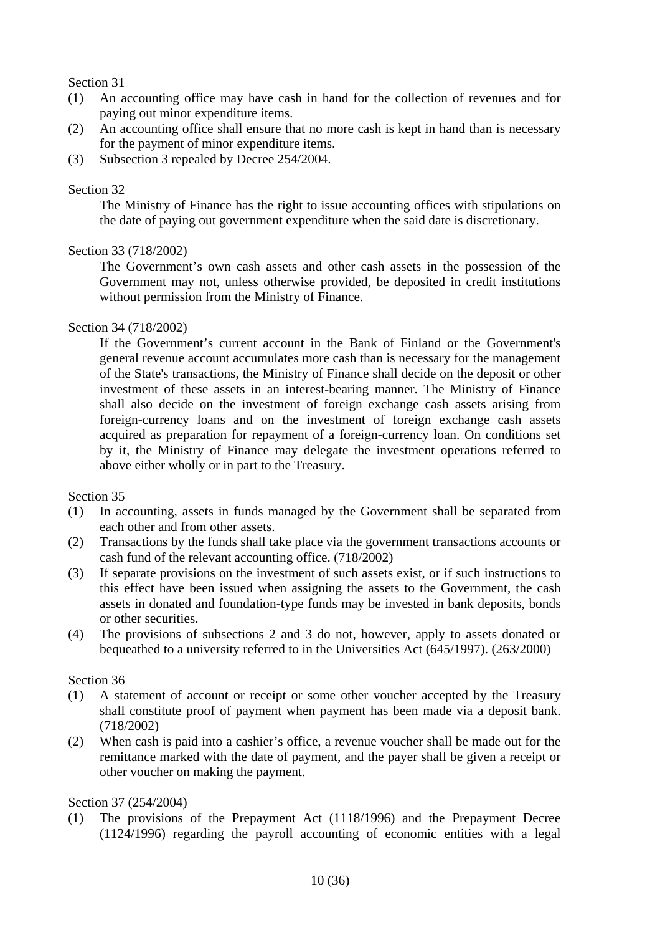### Section 31

- (1) An accounting office may have cash in hand for the collection of revenues and for paying out minor expenditure items.
- (2) An accounting office shall ensure that no more cash is kept in hand than is necessary for the payment of minor expenditure items.
- (3) Subsection 3 repealed by Decree 254/2004.

### Section 32

 The Ministry of Finance has the right to issue accounting offices with stipulations on the date of paying out government expenditure when the said date is discretionary.

# Section 33 (718/2002)

 The Government's own cash assets and other cash assets in the possession of the Government may not, unless otherwise provided, be deposited in credit institutions without permission from the Ministry of Finance.

# Section 34 (718/2002)

 If the Government's current account in the Bank of Finland or the Government's general revenue account accumulates more cash than is necessary for the management of the State's transactions, the Ministry of Finance shall decide on the deposit or other investment of these assets in an interest-bearing manner. The Ministry of Finance shall also decide on the investment of foreign exchange cash assets arising from foreign-currency loans and on the investment of foreign exchange cash assets acquired as preparation for repayment of a foreign-currency loan. On conditions set by it, the Ministry of Finance may delegate the investment operations referred to above either wholly or in part to the Treasury.

#### Section 35

- (1) In accounting, assets in funds managed by the Government shall be separated from each other and from other assets.
- (2) Transactions by the funds shall take place via the government transactions accounts or cash fund of the relevant accounting office. (718/2002)
- (3) If separate provisions on the investment of such assets exist, or if such instructions to this effect have been issued when assigning the assets to the Government, the cash assets in donated and foundation-type funds may be invested in bank deposits, bonds or other securities.
- (4) The provisions of subsections 2 and 3 do not, however, apply to assets donated or bequeathed to a university referred to in the Universities Act (645/1997). (263/2000)

#### Section 36

- (1) A statement of account or receipt or some other voucher accepted by the Treasury shall constitute proof of payment when payment has been made via a deposit bank. (718/2002)
- (2) When cash is paid into a cashier's office, a revenue voucher shall be made out for the remittance marked with the date of payment, and the payer shall be given a receipt or other voucher on making the payment.

#### Section 37 (254/2004)

(1) The provisions of the Prepayment Act (1118/1996) and the Prepayment Decree (1124/1996) regarding the payroll accounting of economic entities with a legal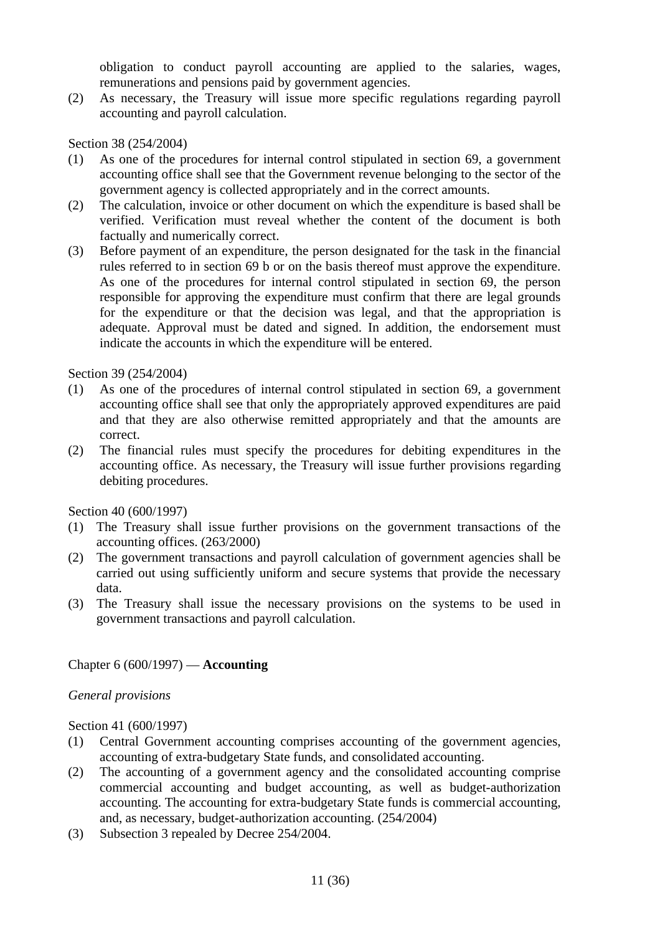obligation to conduct payroll accounting are applied to the salaries, wages, remunerations and pensions paid by government agencies.

(2) As necessary, the Treasury will issue more specific regulations regarding payroll accounting and payroll calculation.

#### Section 38 (254/2004)

- (1) As one of the procedures for internal control stipulated in section 69, a government accounting office shall see that the Government revenue belonging to the sector of the government agency is collected appropriately and in the correct amounts.
- (2) The calculation, invoice or other document on which the expenditure is based shall be verified. Verification must reveal whether the content of the document is both factually and numerically correct.
- (3) Before payment of an expenditure, the person designated for the task in the financial rules referred to in section 69 b or on the basis thereof must approve the expenditure. As one of the procedures for internal control stipulated in section 69, the person responsible for approving the expenditure must confirm that there are legal grounds for the expenditure or that the decision was legal, and that the appropriation is adequate. Approval must be dated and signed. In addition, the endorsement must indicate the accounts in which the expenditure will be entered.

#### Section 39 (254/2004)

- (1) As one of the procedures of internal control stipulated in section 69, a government accounting office shall see that only the appropriately approved expenditures are paid and that they are also otherwise remitted appropriately and that the amounts are correct.
- (2) The financial rules must specify the procedures for debiting expenditures in the accounting office. As necessary, the Treasury will issue further provisions regarding debiting procedures.

Section 40 (600/1997)

- (1) The Treasury shall issue further provisions on the government transactions of the accounting offices. (263/2000)
- (2) The government transactions and payroll calculation of government agencies shall be carried out using sufficiently uniform and secure systems that provide the necessary data.
- (3) The Treasury shall issue the necessary provisions on the systems to be used in government transactions and payroll calculation.

# Chapter 6 (600/1997) — **Accounting**

#### *General provisions*

Section 41 (600/1997)

- (1) Central Government accounting comprises accounting of the government agencies, accounting of extra-budgetary State funds, and consolidated accounting.
- (2) The accounting of a government agency and the consolidated accounting comprise commercial accounting and budget accounting, as well as budget-authorization accounting. The accounting for extra-budgetary State funds is commercial accounting, and, as necessary, budget-authorization accounting. (254/2004)
- (3) Subsection 3 repealed by Decree 254/2004.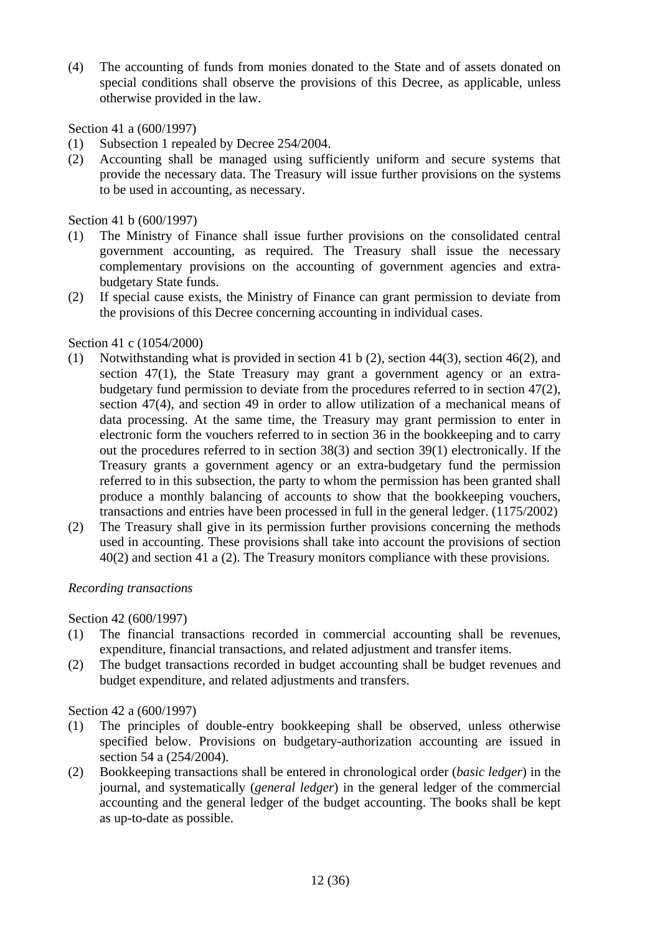(4) The accounting of funds from monies donated to the State and of assets donated on special conditions shall observe the provisions of this Decree, as applicable, unless otherwise provided in the law.

# Section 41 a (600/1997)

- (1) Subsection 1 repealed by Decree 254/2004.
- (2) Accounting shall be managed using sufficiently uniform and secure systems that provide the necessary data. The Treasury will issue further provisions on the systems to be used in accounting, as necessary.

Section 41 b (600/1997)

- (1) The Ministry of Finance shall issue further provisions on the consolidated central government accounting, as required. The Treasury shall issue the necessary complementary provisions on the accounting of government agencies and extrabudgetary State funds.
- (2) If special cause exists, the Ministry of Finance can grant permission to deviate from the provisions of this Decree concerning accounting in individual cases.

# Section 41 c (1054/2000)

- (1) Notwithstanding what is provided in section 41 b (2), section 44(3), section 46(2), and section 47(1), the State Treasury may grant a government agency or an extrabudgetary fund permission to deviate from the procedures referred to in section 47(2), section 47(4), and section 49 in order to allow utilization of a mechanical means of data processing. At the same time, the Treasury may grant permission to enter in electronic form the vouchers referred to in section 36 in the bookkeeping and to carry out the procedures referred to in section 38(3) and section 39(1) electronically. If the Treasury grants a government agency or an extra-budgetary fund the permission referred to in this subsection, the party to whom the permission has been granted shall produce a monthly balancing of accounts to show that the bookkeeping vouchers, transactions and entries have been processed in full in the general ledger. (1175/2002)
- (2) The Treasury shall give in its permission further provisions concerning the methods used in accounting. These provisions shall take into account the provisions of section 40(2) and section 41 a (2). The Treasury monitors compliance with these provisions.

#### *Recording transactions*

#### Section 42 (600/1997)

- (1) The financial transactions recorded in commercial accounting shall be revenues, expenditure, financial transactions, and related adjustment and transfer items.
- (2) The budget transactions recorded in budget accounting shall be budget revenues and budget expenditure, and related adjustments and transfers.

#### Section 42 a (600/1997)

- (1) The principles of double-entry bookkeeping shall be observed, unless otherwise specified below. Provisions on budgetary-authorization accounting are issued in section 54 a (254/2004).
- (2) Bookkeeping transactions shall be entered in chronological order (*basic ledger*) in the journal, and systematically (*general ledger*) in the general ledger of the commercial accounting and the general ledger of the budget accounting. The books shall be kept as up-to-date as possible.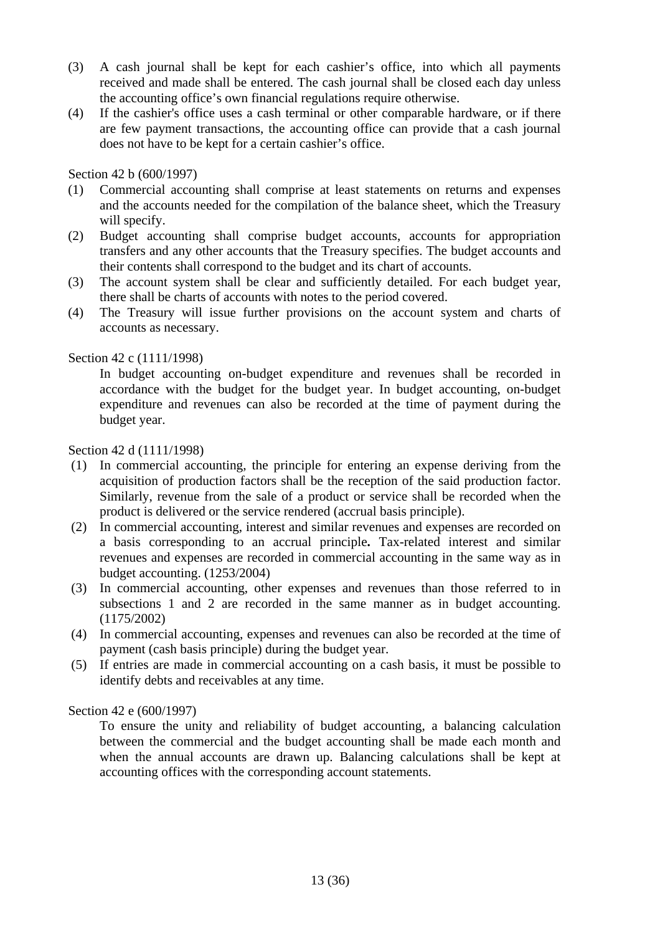- (3) A cash journal shall be kept for each cashier's office, into which all payments received and made shall be entered. The cash journal shall be closed each day unless the accounting office's own financial regulations require otherwise.
- (4) If the cashier's office uses a cash terminal or other comparable hardware, or if there are few payment transactions, the accounting office can provide that a cash journal does not have to be kept for a certain cashier's office.

#### Section 42 b (600/1997)

- (1) Commercial accounting shall comprise at least statements on returns and expenses and the accounts needed for the compilation of the balance sheet, which the Treasury will specify.
- (2) Budget accounting shall comprise budget accounts, accounts for appropriation transfers and any other accounts that the Treasury specifies. The budget accounts and their contents shall correspond to the budget and its chart of accounts.
- (3) The account system shall be clear and sufficiently detailed. For each budget year, there shall be charts of accounts with notes to the period covered.
- (4) The Treasury will issue further provisions on the account system and charts of accounts as necessary.

# Section 42 c (1111/1998)

 In budget accounting on-budget expenditure and revenues shall be recorded in accordance with the budget for the budget year. In budget accounting, on-budget expenditure and revenues can also be recorded at the time of payment during the budget year.

#### Section 42 d (1111/1998)

- (1) In commercial accounting, the principle for entering an expense deriving from the acquisition of production factors shall be the reception of the said production factor. Similarly, revenue from the sale of a product or service shall be recorded when the product is delivered or the service rendered (accrual basis principle).
- (2) In commercial accounting, interest and similar revenues and expenses are recorded on a basis corresponding to an accrual principle**.** Tax-related interest and similar revenues and expenses are recorded in commercial accounting in the same way as in budget accounting. (1253/2004)
- (3) In commercial accounting, other expenses and revenues than those referred to in subsections 1 and 2 are recorded in the same manner as in budget accounting. (1175/2002)
- (4) In commercial accounting, expenses and revenues can also be recorded at the time of payment (cash basis principle) during the budget year.
- (5) If entries are made in commercial accounting on a cash basis, it must be possible to identify debts and receivables at any time.

# Section 42 e (600/1997)

 To ensure the unity and reliability of budget accounting, a balancing calculation between the commercial and the budget accounting shall be made each month and when the annual accounts are drawn up. Balancing calculations shall be kept at accounting offices with the corresponding account statements.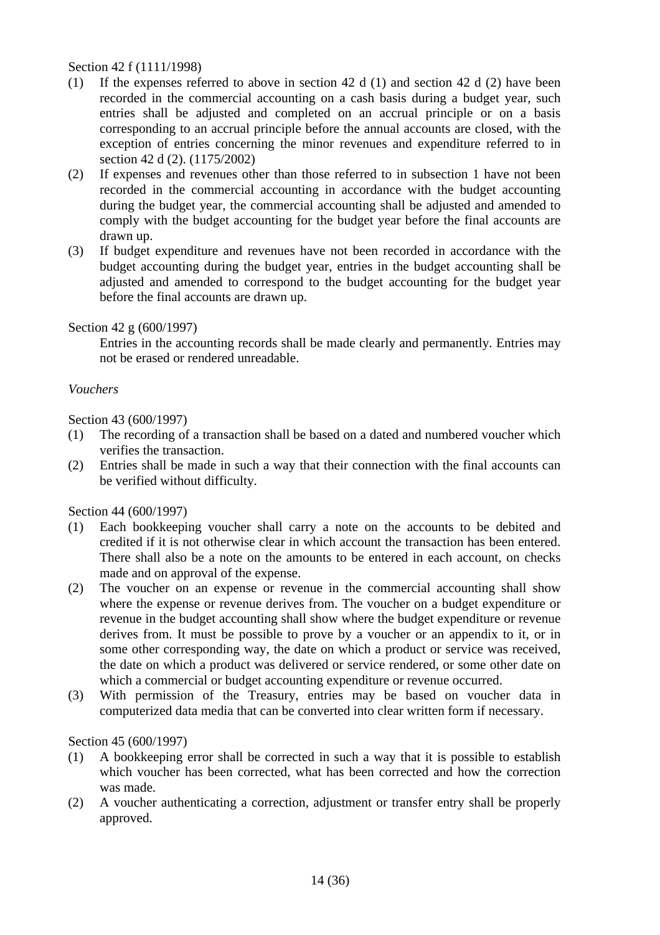Section 42 f (1111/1998)

- (1) If the expenses referred to above in section 42 d (1) and section 42 d (2) have been recorded in the commercial accounting on a cash basis during a budget year, such entries shall be adjusted and completed on an accrual principle or on a basis corresponding to an accrual principle before the annual accounts are closed, with the exception of entries concerning the minor revenues and expenditure referred to in section 42 d (2). (1175/2002)
- (2) If expenses and revenues other than those referred to in subsection 1 have not been recorded in the commercial accounting in accordance with the budget accounting during the budget year, the commercial accounting shall be adjusted and amended to comply with the budget accounting for the budget year before the final accounts are drawn up.
- (3) If budget expenditure and revenues have not been recorded in accordance with the budget accounting during the budget year, entries in the budget accounting shall be adjusted and amended to correspond to the budget accounting for the budget year before the final accounts are drawn up.

Section 42 g (600/1997)

 Entries in the accounting records shall be made clearly and permanently. Entries may not be erased or rendered unreadable.

#### *Vouchers*

Section 43 (600/1997)

- (1) The recording of a transaction shall be based on a dated and numbered voucher which verifies the transaction.
- (2) Entries shall be made in such a way that their connection with the final accounts can be verified without difficulty.

Section 44 (600/1997)

- (1) Each bookkeeping voucher shall carry a note on the accounts to be debited and credited if it is not otherwise clear in which account the transaction has been entered. There shall also be a note on the amounts to be entered in each account, on checks made and on approval of the expense.
- (2) The voucher on an expense or revenue in the commercial accounting shall show where the expense or revenue derives from. The voucher on a budget expenditure or revenue in the budget accounting shall show where the budget expenditure or revenue derives from. It must be possible to prove by a voucher or an appendix to it, or in some other corresponding way, the date on which a product or service was received, the date on which a product was delivered or service rendered, or some other date on which a commercial or budget accounting expenditure or revenue occurred.
- (3) With permission of the Treasury, entries may be based on voucher data in computerized data media that can be converted into clear written form if necessary.

#### Section 45 (600/1997)

- (1) A bookkeeping error shall be corrected in such a way that it is possible to establish which voucher has been corrected, what has been corrected and how the correction was made.
- (2) A voucher authenticating a correction, adjustment or transfer entry shall be properly approved.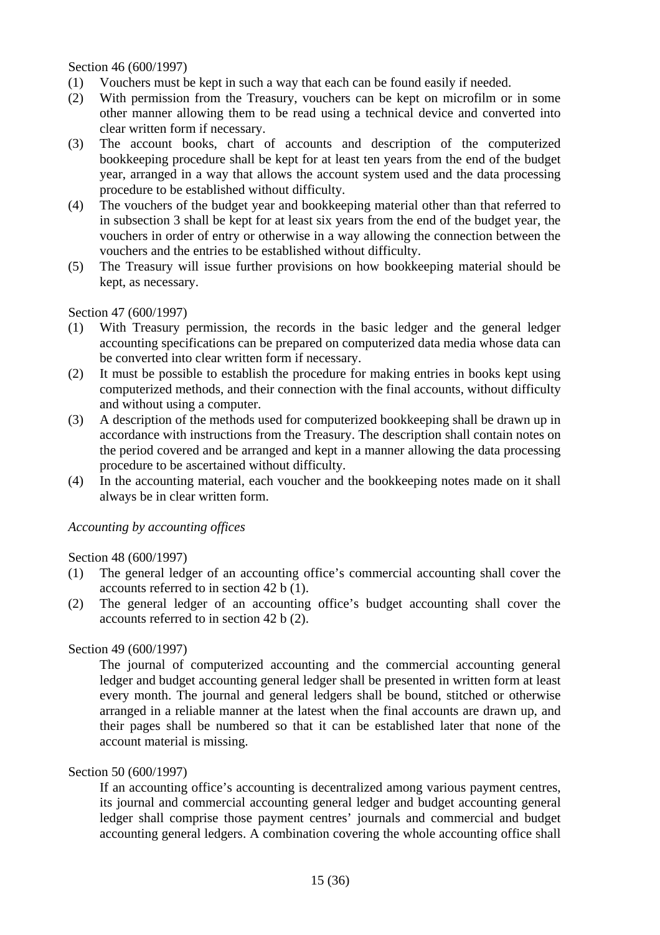Section 46 (600/1997)

- (1) Vouchers must be kept in such a way that each can be found easily if needed.
- (2) With permission from the Treasury, vouchers can be kept on microfilm or in some other manner allowing them to be read using a technical device and converted into clear written form if necessary.
- (3) The account books, chart of accounts and description of the computerized bookkeeping procedure shall be kept for at least ten years from the end of the budget year, arranged in a way that allows the account system used and the data processing procedure to be established without difficulty.
- (4) The vouchers of the budget year and bookkeeping material other than that referred to in subsection 3 shall be kept for at least six years from the end of the budget year, the vouchers in order of entry or otherwise in a way allowing the connection between the vouchers and the entries to be established without difficulty.
- (5) The Treasury will issue further provisions on how bookkeeping material should be kept, as necessary.

#### Section 47 (600/1997)

- (1) With Treasury permission, the records in the basic ledger and the general ledger accounting specifications can be prepared on computerized data media whose data can be converted into clear written form if necessary.
- (2) It must be possible to establish the procedure for making entries in books kept using computerized methods, and their connection with the final accounts, without difficulty and without using a computer.
- (3) A description of the methods used for computerized bookkeeping shall be drawn up in accordance with instructions from the Treasury. The description shall contain notes on the period covered and be arranged and kept in a manner allowing the data processing procedure to be ascertained without difficulty.
- (4) In the accounting material, each voucher and the bookkeeping notes made on it shall always be in clear written form.

#### *Accounting by accounting offices*

#### Section 48 (600/1997)

- (1) The general ledger of an accounting office's commercial accounting shall cover the accounts referred to in section 42 b (1).
- (2) The general ledger of an accounting office's budget accounting shall cover the accounts referred to in section 42 b (2).

#### Section 49 (600/1997)

 The journal of computerized accounting and the commercial accounting general ledger and budget accounting general ledger shall be presented in written form at least every month. The journal and general ledgers shall be bound, stitched or otherwise arranged in a reliable manner at the latest when the final accounts are drawn up, and their pages shall be numbered so that it can be established later that none of the account material is missing.

# Section 50 (600/1997)

 If an accounting office's accounting is decentralized among various payment centres, its journal and commercial accounting general ledger and budget accounting general ledger shall comprise those payment centres' journals and commercial and budget accounting general ledgers. A combination covering the whole accounting office shall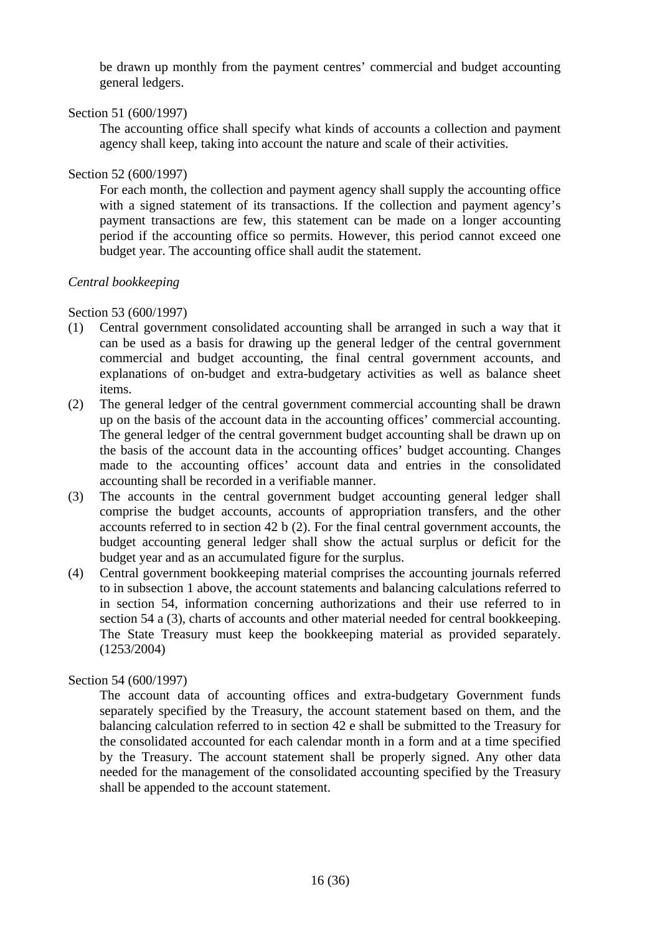be drawn up monthly from the payment centres' commercial and budget accounting general ledgers.

# Section 51 (600/1997)

 The accounting office shall specify what kinds of accounts a collection and payment agency shall keep, taking into account the nature and scale of their activities.

# Section 52 (600/1997)

 For each month, the collection and payment agency shall supply the accounting office with a signed statement of its transactions. If the collection and payment agency's payment transactions are few, this statement can be made on a longer accounting period if the accounting office so permits. However, this period cannot exceed one budget year. The accounting office shall audit the statement.

# *Central bookkeeping*

# Section 53 (600/1997)

- (1) Central government consolidated accounting shall be arranged in such a way that it can be used as a basis for drawing up the general ledger of the central government commercial and budget accounting, the final central government accounts, and explanations of on-budget and extra-budgetary activities as well as balance sheet items.
- (2) The general ledger of the central government commercial accounting shall be drawn up on the basis of the account data in the accounting offices' commercial accounting. The general ledger of the central government budget accounting shall be drawn up on the basis of the account data in the accounting offices' budget accounting. Changes made to the accounting offices' account data and entries in the consolidated accounting shall be recorded in a verifiable manner.
- (3) The accounts in the central government budget accounting general ledger shall comprise the budget accounts, accounts of appropriation transfers, and the other accounts referred to in section 42 b (2). For the final central government accounts, the budget accounting general ledger shall show the actual surplus or deficit for the budget year and as an accumulated figure for the surplus.
- (4) Central government bookkeeping material comprises the accounting journals referred to in subsection 1 above, the account statements and balancing calculations referred to in section 54, information concerning authorizations and their use referred to in section 54 a (3), charts of accounts and other material needed for central bookkeeping. The State Treasury must keep the bookkeeping material as provided separately. (1253/2004)

# Section 54 (600/1997)

 The account data of accounting offices and extra-budgetary Government funds separately specified by the Treasury, the account statement based on them, and the balancing calculation referred to in section 42 e shall be submitted to the Treasury for the consolidated accounted for each calendar month in a form and at a time specified by the Treasury. The account statement shall be properly signed. Any other data needed for the management of the consolidated accounting specified by the Treasury shall be appended to the account statement.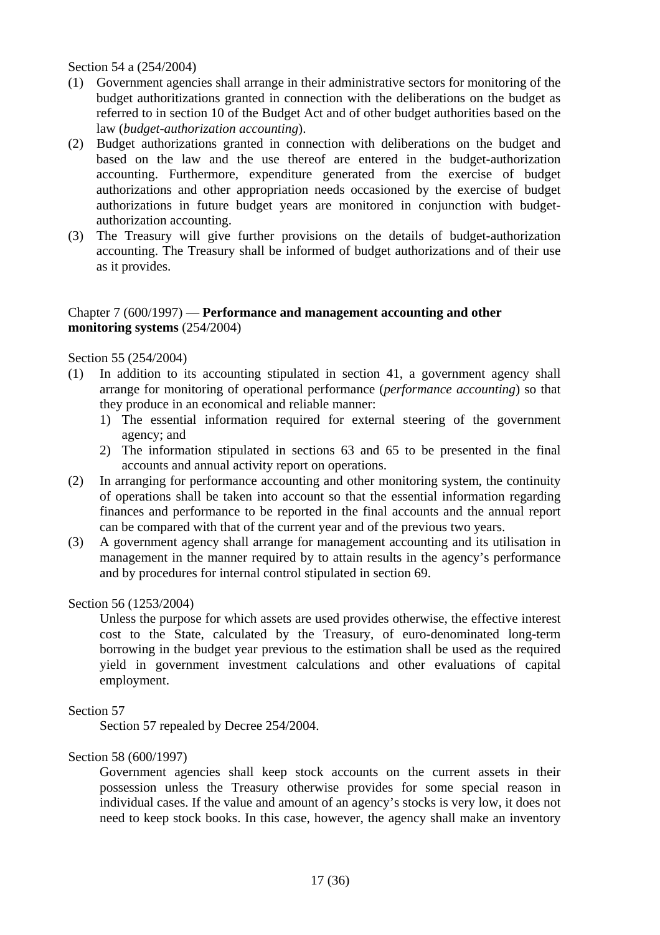Section 54 a (254/2004)

- (1) Government agencies shall arrange in their administrative sectors for monitoring of the budget authoritizations granted in connection with the deliberations on the budget as referred to in section 10 of the Budget Act and of other budget authorities based on the law (*budget-authorization accounting*).
- (2) Budget authorizations granted in connection with deliberations on the budget and based on the law and the use thereof are entered in the budget-authorization accounting. Furthermore, expenditure generated from the exercise of budget authorizations and other appropriation needs occasioned by the exercise of budget authorizations in future budget years are monitored in conjunction with budgetauthorization accounting.
- (3) The Treasury will give further provisions on the details of budget-authorization accounting. The Treasury shall be informed of budget authorizations and of their use as it provides.

### Chapter 7 (600/1997) — **Performance and management accounting and other monitoring systems** (254/2004)

Section 55 (254/2004)

- (1) In addition to its accounting stipulated in section 41, a government agency shall arrange for monitoring of operational performance (*performance accounting*) so that they produce in an economical and reliable manner:
	- 1) The essential information required for external steering of the government agency; and
	- 2) The information stipulated in sections 63 and 65 to be presented in the final accounts and annual activity report on operations.
- (2) In arranging for performance accounting and other monitoring system, the continuity of operations shall be taken into account so that the essential information regarding finances and performance to be reported in the final accounts and the annual report can be compared with that of the current year and of the previous two years.
- (3) A government agency shall arrange for management accounting and its utilisation in management in the manner required by to attain results in the agency's performance and by procedures for internal control stipulated in section 69.

#### Section 56 (1253/2004)

 Unless the purpose for which assets are used provides otherwise, the effective interest cost to the State, calculated by the Treasury, of euro-denominated long-term borrowing in the budget year previous to the estimation shall be used as the required yield in government investment calculations and other evaluations of capital employment.

#### Section 57

Section 57 repealed by Decree 254/2004.

#### Section 58 (600/1997)

 Government agencies shall keep stock accounts on the current assets in their possession unless the Treasury otherwise provides for some special reason in individual cases. If the value and amount of an agency's stocks is very low, it does not need to keep stock books. In this case, however, the agency shall make an inventory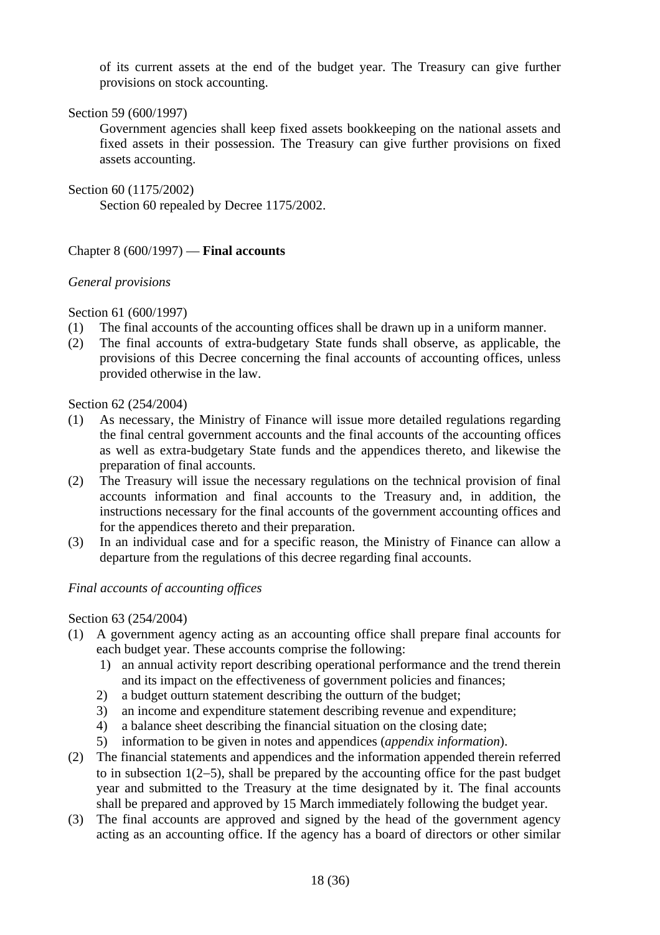of its current assets at the end of the budget year. The Treasury can give further provisions on stock accounting.

Section 59 (600/1997)

 Government agencies shall keep fixed assets bookkeeping on the national assets and fixed assets in their possession. The Treasury can give further provisions on fixed assets accounting.

Section 60 (1175/2002)

Section 60 repealed by Decree 1175/2002.

Chapter 8 (600/1997) — **Final accounts**

#### *General provisions*

Section 61 (600/1997)

- (1) The final accounts of the accounting offices shall be drawn up in a uniform manner.
- (2) The final accounts of extra-budgetary State funds shall observe, as applicable, the provisions of this Decree concerning the final accounts of accounting offices, unless provided otherwise in the law.

Section 62 (254/2004)

- (1) As necessary, the Ministry of Finance will issue more detailed regulations regarding the final central government accounts and the final accounts of the accounting offices as well as extra-budgetary State funds and the appendices thereto, and likewise the preparation of final accounts.
- (2) The Treasury will issue the necessary regulations on the technical provision of final accounts information and final accounts to the Treasury and, in addition, the instructions necessary for the final accounts of the government accounting offices and for the appendices thereto and their preparation.
- (3) In an individual case and for a specific reason, the Ministry of Finance can allow a departure from the regulations of this decree regarding final accounts.

#### *Final accounts of accounting offices*

#### Section 63 (254/2004)

- (1) A government agency acting as an accounting office shall prepare final accounts for each budget year. These accounts comprise the following:
	- 1) an annual activity report describing operational performance and the trend therein and its impact on the effectiveness of government policies and finances;
	- 2) a budget outturn statement describing the outturn of the budget;
	- 3) an income and expenditure statement describing revenue and expenditure;
	- 4) a balance sheet describing the financial situation on the closing date;
	- 5) information to be given in notes and appendices (*appendix information*).
- (2) The financial statements and appendices and the information appended therein referred to in subsection 1(2−5), shall be prepared by the accounting office for the past budget year and submitted to the Treasury at the time designated by it. The final accounts shall be prepared and approved by 15 March immediately following the budget year.
- (3) The final accounts are approved and signed by the head of the government agency acting as an accounting office. If the agency has a board of directors or other similar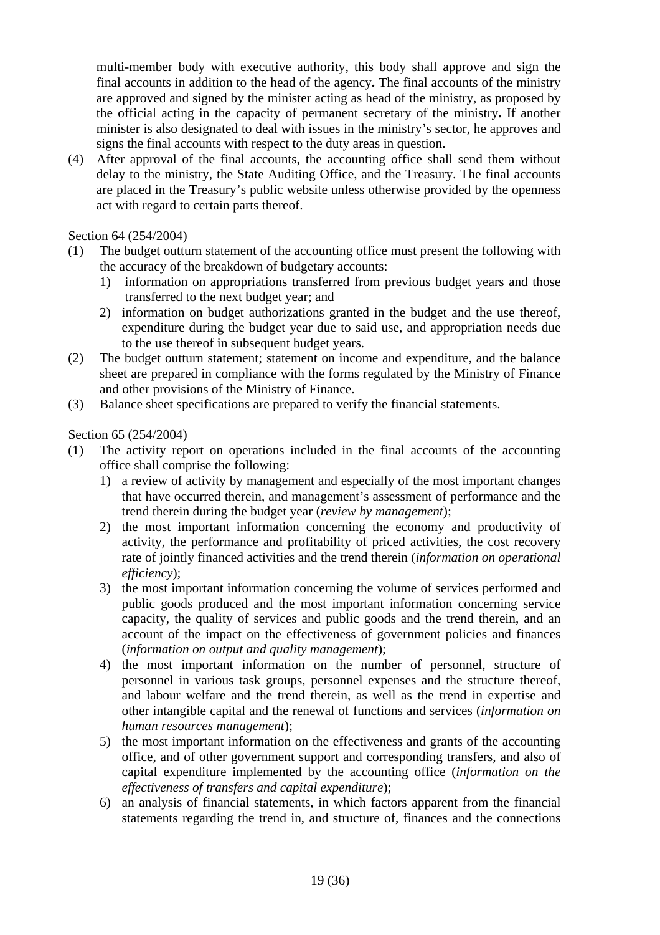multi-member body with executive authority, this body shall approve and sign the final accounts in addition to the head of the agency**.** The final accounts of the ministry are approved and signed by the minister acting as head of the ministry, as proposed by the official acting in the capacity of permanent secretary of the ministry**.** If another minister is also designated to deal with issues in the ministry's sector, he approves and signs the final accounts with respect to the duty areas in question.

(4) After approval of the final accounts, the accounting office shall send them without delay to the ministry, the State Auditing Office, and the Treasury. The final accounts are placed in the Treasury's public website unless otherwise provided by the openness act with regard to certain parts thereof.

# Section 64 (254/2004)

- (1) The budget outturn statement of the accounting office must present the following with the accuracy of the breakdown of budgetary accounts:
	- 1) information on appropriations transferred from previous budget years and those transferred to the next budget year; and
	- 2) information on budget authorizations granted in the budget and the use thereof, expenditure during the budget year due to said use, and appropriation needs due to the use thereof in subsequent budget years.
- (2) The budget outturn statement; statement on income and expenditure, and the balance sheet are prepared in compliance with the forms regulated by the Ministry of Finance and other provisions of the Ministry of Finance.
- (3) Balance sheet specifications are prepared to verify the financial statements.

# Section 65 (254/2004)

- (1) The activity report on operations included in the final accounts of the accounting office shall comprise the following:
	- 1) a review of activity by management and especially of the most important changes that have occurred therein, and management's assessment of performance and the trend therein during the budget year (*review by management*);
	- 2) the most important information concerning the economy and productivity of activity, the performance and profitability of priced activities, the cost recovery rate of jointly financed activities and the trend therein (*information on operational efficiency*);
	- 3) the most important information concerning the volume of services performed and public goods produced and the most important information concerning service capacity, the quality of services and public goods and the trend therein, and an account of the impact on the effectiveness of government policies and finances (*information on output and quality management*);
	- 4) the most important information on the number of personnel, structure of personnel in various task groups, personnel expenses and the structure thereof, and labour welfare and the trend therein, as well as the trend in expertise and other intangible capital and the renewal of functions and services (*information on human resources management*);
	- 5) the most important information on the effectiveness and grants of the accounting office, and of other government support and corresponding transfers, and also of capital expenditure implemented by the accounting office (*information on the effectiveness of transfers and capital expenditure*);
	- 6) an analysis of financial statements, in which factors apparent from the financial statements regarding the trend in, and structure of, finances and the connections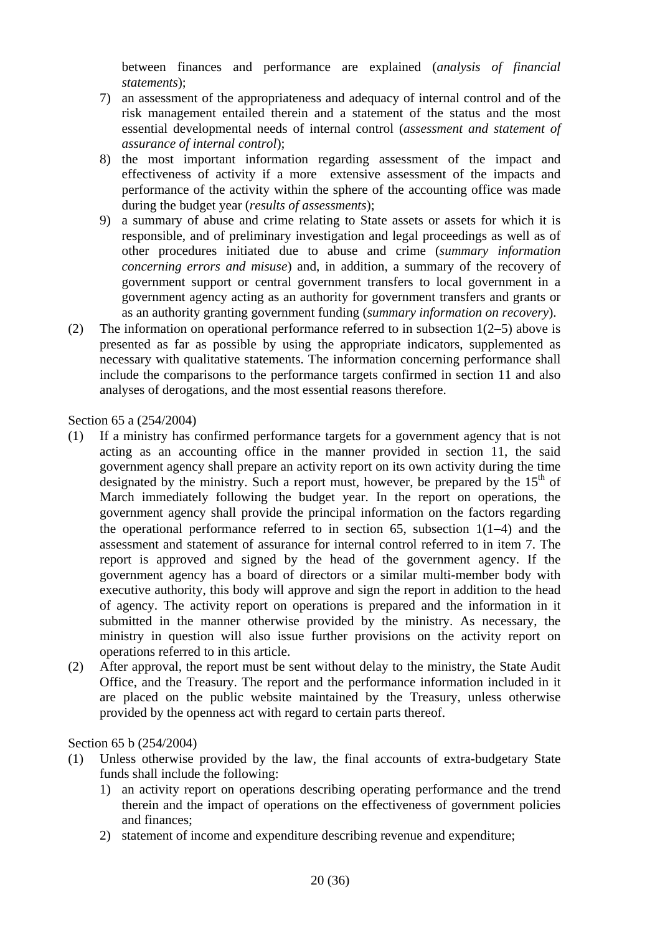between finances and performance are explained (*analysis of financial statements*);

- 7) an assessment of the appropriateness and adequacy of internal control and of the risk management entailed therein and a statement of the status and the most essential developmental needs of internal control (*assessment and statement of assurance of internal control*);
- 8) the most important information regarding assessment of the impact and effectiveness of activity if a more extensive assessment of the impacts and performance of the activity within the sphere of the accounting office was made during the budget year (*results of assessments*);
- 9) a summary of abuse and crime relating to State assets or assets for which it is responsible, and of preliminary investigation and legal proceedings as well as of other procedures initiated due to abuse and crime (*summary information concerning errors and misuse*) and, in addition, a summary of the recovery of government support or central government transfers to local government in a government agency acting as an authority for government transfers and grants or as an authority granting government funding (*summary information on recovery*).
- (2) The information on operational performance referred to in subsection 1(2−5) above is presented as far as possible by using the appropriate indicators, supplemented as necessary with qualitative statements. The information concerning performance shall include the comparisons to the performance targets confirmed in section 11 and also analyses of derogations, and the most essential reasons therefore.

Section 65 a (254/2004)

- (1) If a ministry has confirmed performance targets for a government agency that is not acting as an accounting office in the manner provided in section 11, the said government agency shall prepare an activity report on its own activity during the time designated by the ministry. Such a report must, however, be prepared by the  $15<sup>th</sup>$  of March immediately following the budget year. In the report on operations, the government agency shall provide the principal information on the factors regarding the operational performance referred to in section 65, subsection 1(1−4) and the assessment and statement of assurance for internal control referred to in item 7. The report is approved and signed by the head of the government agency. If the government agency has a board of directors or a similar multi-member body with executive authority, this body will approve and sign the report in addition to the head of agency. The activity report on operations is prepared and the information in it submitted in the manner otherwise provided by the ministry. As necessary, the ministry in question will also issue further provisions on the activity report on operations referred to in this article.
- (2) After approval, the report must be sent without delay to the ministry, the State Audit Office, and the Treasury. The report and the performance information included in it are placed on the public website maintained by the Treasury, unless otherwise provided by the openness act with regard to certain parts thereof.

Section 65 b (254/2004)

- (1) Unless otherwise provided by the law, the final accounts of extra-budgetary State funds shall include the following:
	- 1) an activity report on operations describing operating performance and the trend therein and the impact of operations on the effectiveness of government policies and finances;
	- 2) statement of income and expenditure describing revenue and expenditure;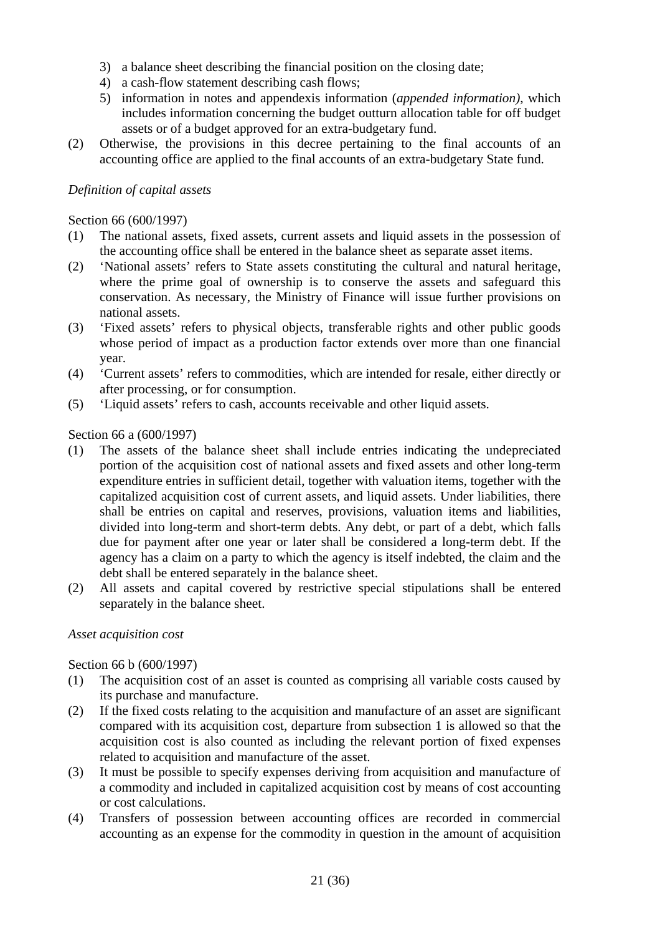- 3) a balance sheet describing the financial position on the closing date;
- 4) a cash-flow statement describing cash flows;
- 5) information in notes and appendexis information (*appended information)*, which includes information concerning the budget outturn allocation table for off budget assets or of a budget approved for an extra-budgetary fund.
- (2) Otherwise, the provisions in this decree pertaining to the final accounts of an accounting office are applied to the final accounts of an extra-budgetary State fund.

# *Definition of capital assets*

Section 66 (600/1997)

- (1) The national assets, fixed assets, current assets and liquid assets in the possession of the accounting office shall be entered in the balance sheet as separate asset items.
- (2) 'National assets' refers to State assets constituting the cultural and natural heritage, where the prime goal of ownership is to conserve the assets and safeguard this conservation. As necessary, the Ministry of Finance will issue further provisions on national assets.
- (3) 'Fixed assets' refers to physical objects, transferable rights and other public goods whose period of impact as a production factor extends over more than one financial year.
- (4) 'Current assets' refers to commodities, which are intended for resale, either directly or after processing, or for consumption.
- (5) 'Liquid assets' refers to cash, accounts receivable and other liquid assets.

Section 66 a (600/1997)

- (1) The assets of the balance sheet shall include entries indicating the undepreciated portion of the acquisition cost of national assets and fixed assets and other long-term expenditure entries in sufficient detail, together with valuation items, together with the capitalized acquisition cost of current assets, and liquid assets. Under liabilities, there shall be entries on capital and reserves, provisions, valuation items and liabilities, divided into long-term and short-term debts. Any debt, or part of a debt, which falls due for payment after one year or later shall be considered a long-term debt. If the agency has a claim on a party to which the agency is itself indebted, the claim and the debt shall be entered separately in the balance sheet.
- (2) All assets and capital covered by restrictive special stipulations shall be entered separately in the balance sheet.

#### *Asset acquisition cost*

Section 66 b (600/1997)

- (1) The acquisition cost of an asset is counted as comprising all variable costs caused by its purchase and manufacture.
- (2) If the fixed costs relating to the acquisition and manufacture of an asset are significant compared with its acquisition cost, departure from subsection 1 is allowed so that the acquisition cost is also counted as including the relevant portion of fixed expenses related to acquisition and manufacture of the asset.
- (3) It must be possible to specify expenses deriving from acquisition and manufacture of a commodity and included in capitalized acquisition cost by means of cost accounting or cost calculations.
- (4) Transfers of possession between accounting offices are recorded in commercial accounting as an expense for the commodity in question in the amount of acquisition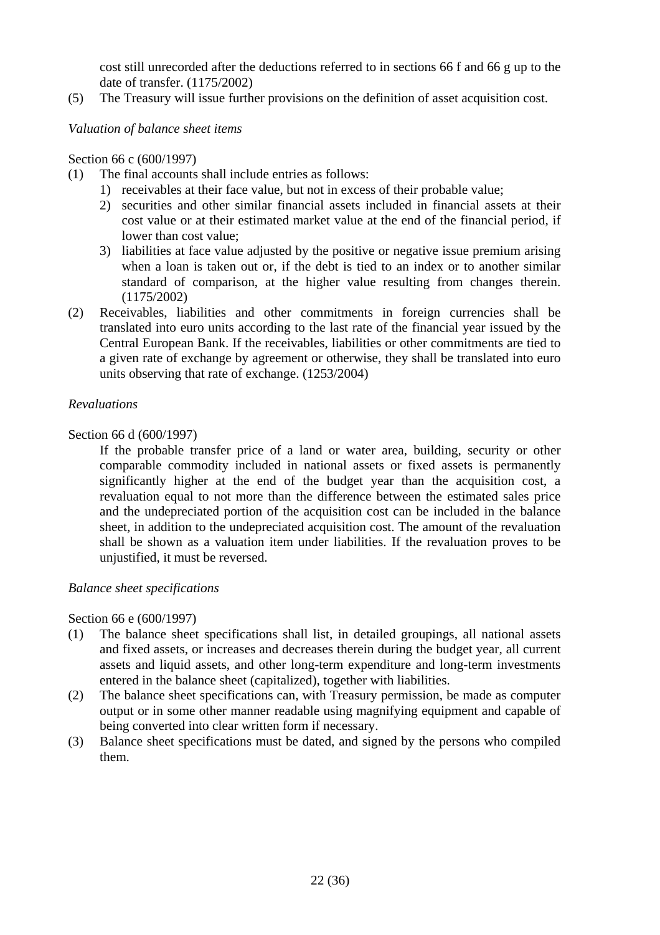cost still unrecorded after the deductions referred to in sections 66 f and 66 g up to the date of transfer. (1175/2002)

(5) The Treasury will issue further provisions on the definition of asset acquisition cost.

# *Valuation of balance sheet items*

Section 66 c (600/1997)

- (1) The final accounts shall include entries as follows:
	- 1) receivables at their face value, but not in excess of their probable value;
	- 2) securities and other similar financial assets included in financial assets at their cost value or at their estimated market value at the end of the financial period, if lower than cost value;
	- 3) liabilities at face value adjusted by the positive or negative issue premium arising when a loan is taken out or, if the debt is tied to an index or to another similar standard of comparison, at the higher value resulting from changes therein. (1175/2002)
- (2) Receivables, liabilities and other commitments in foreign currencies shall be translated into euro units according to the last rate of the financial year issued by the Central European Bank. If the receivables, liabilities or other commitments are tied to a given rate of exchange by agreement or otherwise, they shall be translated into euro units observing that rate of exchange. (1253/2004)

# *Revaluations*

Section 66 d (600/1997)

 If the probable transfer price of a land or water area, building, security or other comparable commodity included in national assets or fixed assets is permanently significantly higher at the end of the budget year than the acquisition cost, a revaluation equal to not more than the difference between the estimated sales price and the undepreciated portion of the acquisition cost can be included in the balance sheet, in addition to the undepreciated acquisition cost. The amount of the revaluation shall be shown as a valuation item under liabilities. If the revaluation proves to be unjustified, it must be reversed.

# *Balance sheet specifications*

#### Section 66 e (600/1997)

- (1) The balance sheet specifications shall list, in detailed groupings, all national assets and fixed assets, or increases and decreases therein during the budget year, all current assets and liquid assets, and other long-term expenditure and long-term investments entered in the balance sheet (capitalized), together with liabilities.
- (2) The balance sheet specifications can, with Treasury permission, be made as computer output or in some other manner readable using magnifying equipment and capable of being converted into clear written form if necessary.
- (3) Balance sheet specifications must be dated, and signed by the persons who compiled them.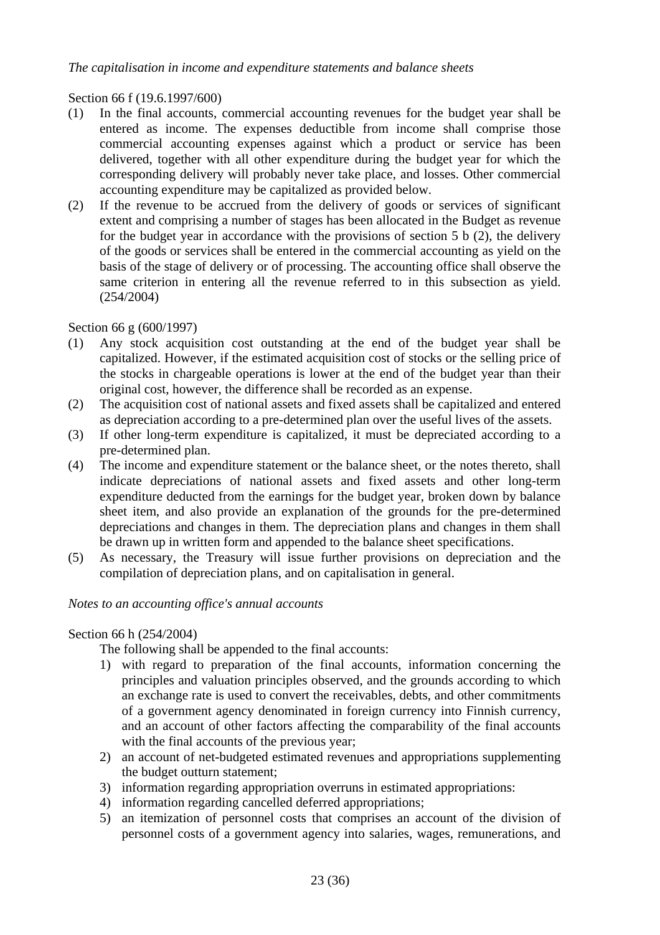# *The capitalisation in income and expenditure statements and balance sheets*

Section 66 f (19.6.1997/600)

- (1) In the final accounts, commercial accounting revenues for the budget year shall be entered as income. The expenses deductible from income shall comprise those commercial accounting expenses against which a product or service has been delivered, together with all other expenditure during the budget year for which the corresponding delivery will probably never take place, and losses. Other commercial accounting expenditure may be capitalized as provided below.
- (2) If the revenue to be accrued from the delivery of goods or services of significant extent and comprising a number of stages has been allocated in the Budget as revenue for the budget year in accordance with the provisions of section 5 b (2), the delivery of the goods or services shall be entered in the commercial accounting as yield on the basis of the stage of delivery or of processing. The accounting office shall observe the same criterion in entering all the revenue referred to in this subsection as yield. (254/2004)

Section 66 g (600/1997)

- (1) Any stock acquisition cost outstanding at the end of the budget year shall be capitalized. However, if the estimated acquisition cost of stocks or the selling price of the stocks in chargeable operations is lower at the end of the budget year than their original cost, however, the difference shall be recorded as an expense.
- (2) The acquisition cost of national assets and fixed assets shall be capitalized and entered as depreciation according to a pre-determined plan over the useful lives of the assets.
- (3) If other long-term expenditure is capitalized, it must be depreciated according to a pre-determined plan.
- (4) The income and expenditure statement or the balance sheet, or the notes thereto, shall indicate depreciations of national assets and fixed assets and other long-term expenditure deducted from the earnings for the budget year, broken down by balance sheet item, and also provide an explanation of the grounds for the pre-determined depreciations and changes in them. The depreciation plans and changes in them shall be drawn up in written form and appended to the balance sheet specifications.
- (5) As necessary, the Treasury will issue further provisions on depreciation and the compilation of depreciation plans, and on capitalisation in general.

#### *Notes to an accounting office's annual accounts*

# Section 66 h (254/2004)

The following shall be appended to the final accounts:

- 1) with regard to preparation of the final accounts, information concerning the principles and valuation principles observed, and the grounds according to which an exchange rate is used to convert the receivables, debts, and other commitments of a government agency denominated in foreign currency into Finnish currency, and an account of other factors affecting the comparability of the final accounts with the final accounts of the previous year;
- 2) an account of net-budgeted estimated revenues and appropriations supplementing the budget outturn statement;
- 3) information regarding appropriation overruns in estimated appropriations:
- 4) information regarding cancelled deferred appropriations;
- 5) an itemization of personnel costs that comprises an account of the division of personnel costs of a government agency into salaries, wages, remunerations, and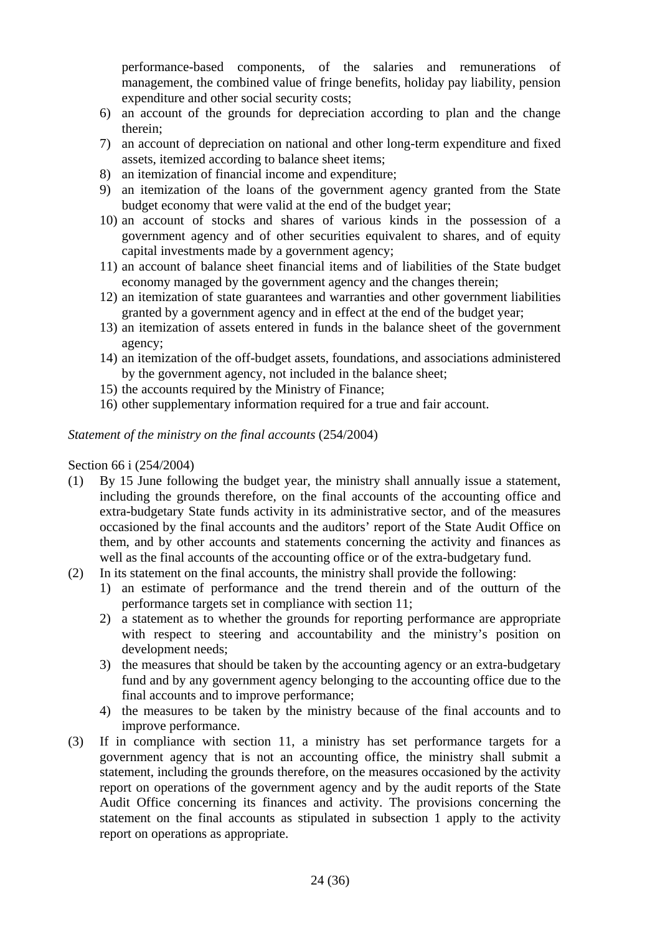performance-based components, of the salaries and remunerations of management, the combined value of fringe benefits, holiday pay liability, pension expenditure and other social security costs;

- 6) an account of the grounds for depreciation according to plan and the change therein;
- 7) an account of depreciation on national and other long-term expenditure and fixed assets, itemized according to balance sheet items;
- 8) an itemization of financial income and expenditure;
- 9) an itemization of the loans of the government agency granted from the State budget economy that were valid at the end of the budget year;
- 10) an account of stocks and shares of various kinds in the possession of a government agency and of other securities equivalent to shares, and of equity capital investments made by a government agency;
- 11) an account of balance sheet financial items and of liabilities of the State budget economy managed by the government agency and the changes therein;
- 12) an itemization of state guarantees and warranties and other government liabilities granted by a government agency and in effect at the end of the budget year;
- 13) an itemization of assets entered in funds in the balance sheet of the government agency;
- 14) an itemization of the off-budget assets, foundations, and associations administered by the government agency, not included in the balance sheet;
- 15) the accounts required by the Ministry of Finance;
- 16) other supplementary information required for a true and fair account.

# *Statement of the ministry on the final accounts* (254/2004)

# Section 66 i (254/2004)

- (1) By 15 June following the budget year, the ministry shall annually issue a statement, including the grounds therefore, on the final accounts of the accounting office and extra-budgetary State funds activity in its administrative sector, and of the measures occasioned by the final accounts and the auditors' report of the State Audit Office on them, and by other accounts and statements concerning the activity and finances as well as the final accounts of the accounting office or of the extra-budgetary fund.
- (2) In its statement on the final accounts, the ministry shall provide the following:
	- 1) an estimate of performance and the trend therein and of the outturn of the performance targets set in compliance with section 11;
	- 2) a statement as to whether the grounds for reporting performance are appropriate with respect to steering and accountability and the ministry's position on development needs;
	- 3) the measures that should be taken by the accounting agency or an extra-budgetary fund and by any government agency belonging to the accounting office due to the final accounts and to improve performance;
	- 4) the measures to be taken by the ministry because of the final accounts and to improve performance.
- (3) If in compliance with section 11, a ministry has set performance targets for a government agency that is not an accounting office, the ministry shall submit a statement, including the grounds therefore, on the measures occasioned by the activity report on operations of the government agency and by the audit reports of the State Audit Office concerning its finances and activity. The provisions concerning the statement on the final accounts as stipulated in subsection 1 apply to the activity report on operations as appropriate.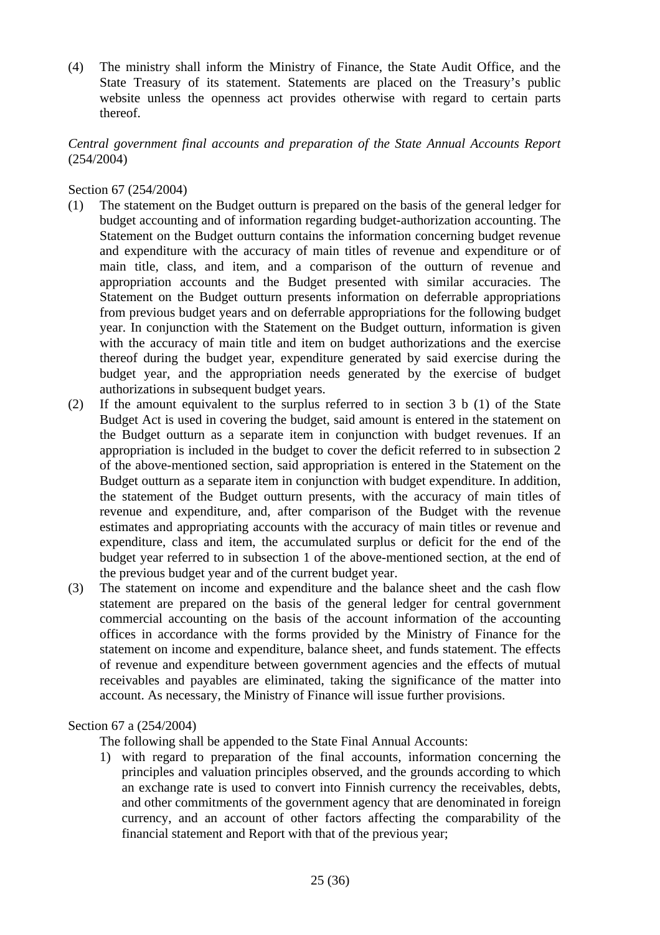(4) The ministry shall inform the Ministry of Finance, the State Audit Office, and the State Treasury of its statement. Statements are placed on the Treasury's public website unless the openness act provides otherwise with regard to certain parts thereof.

# *Central government final accounts and preparation of the State Annual Accounts Report*  (254/2004)

### Section 67 (254/2004)

- (1) The statement on the Budget outturn is prepared on the basis of the general ledger for budget accounting and of information regarding budget-authorization accounting. The Statement on the Budget outturn contains the information concerning budget revenue and expenditure with the accuracy of main titles of revenue and expenditure or of main title, class, and item, and a comparison of the outturn of revenue and appropriation accounts and the Budget presented with similar accuracies. The Statement on the Budget outturn presents information on deferrable appropriations from previous budget years and on deferrable appropriations for the following budget year. In conjunction with the Statement on the Budget outturn, information is given with the accuracy of main title and item on budget authorizations and the exercise thereof during the budget year, expenditure generated by said exercise during the budget year, and the appropriation needs generated by the exercise of budget authorizations in subsequent budget years.
- (2) If the amount equivalent to the surplus referred to in section 3 b (1) of the State Budget Act is used in covering the budget, said amount is entered in the statement on the Budget outturn as a separate item in conjunction with budget revenues. If an appropriation is included in the budget to cover the deficit referred to in subsection 2 of the above-mentioned section, said appropriation is entered in the Statement on the Budget outturn as a separate item in conjunction with budget expenditure. In addition, the statement of the Budget outturn presents, with the accuracy of main titles of revenue and expenditure, and, after comparison of the Budget with the revenue estimates and appropriating accounts with the accuracy of main titles or revenue and expenditure, class and item, the accumulated surplus or deficit for the end of the budget year referred to in subsection 1 of the above-mentioned section, at the end of the previous budget year and of the current budget year.
- (3) The statement on income and expenditure and the balance sheet and the cash flow statement are prepared on the basis of the general ledger for central government commercial accounting on the basis of the account information of the accounting offices in accordance with the forms provided by the Ministry of Finance for the statement on income and expenditure, balance sheet, and funds statement. The effects of revenue and expenditure between government agencies and the effects of mutual receivables and payables are eliminated, taking the significance of the matter into account. As necessary, the Ministry of Finance will issue further provisions.

#### Section 67 a (254/2004)

The following shall be appended to the State Final Annual Accounts:

1) with regard to preparation of the final accounts, information concerning the principles and valuation principles observed, and the grounds according to which an exchange rate is used to convert into Finnish currency the receivables, debts, and other commitments of the government agency that are denominated in foreign currency, and an account of other factors affecting the comparability of the financial statement and Report with that of the previous year;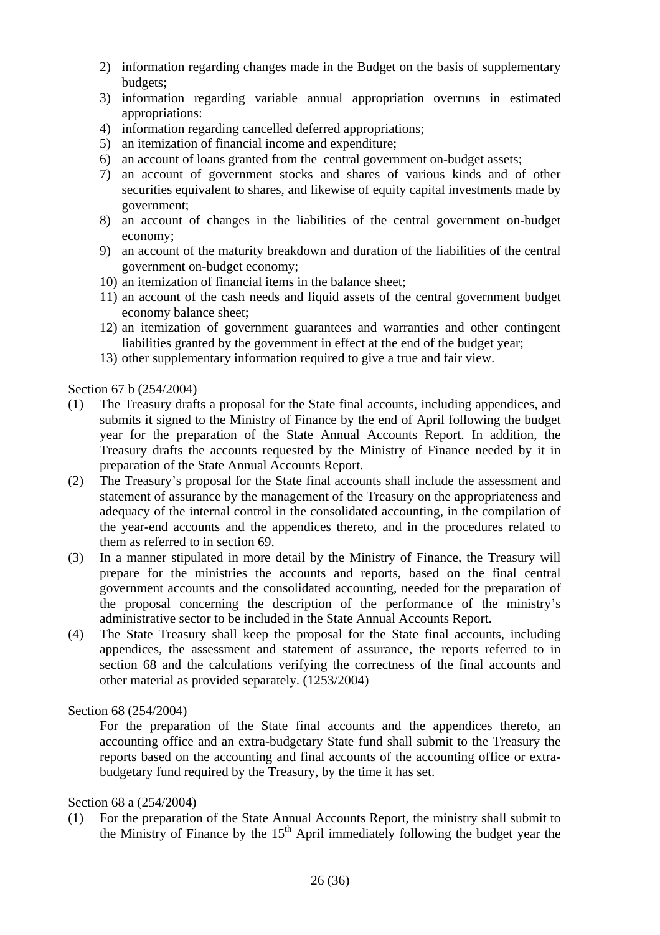- 2) information regarding changes made in the Budget on the basis of supplementary budgets;
- 3) information regarding variable annual appropriation overruns in estimated appropriations:
- 4) information regarding cancelled deferred appropriations;
- 5) an itemization of financial income and expenditure;
- 6) an account of loans granted from the central government on-budget assets;
- 7) an account of government stocks and shares of various kinds and of other securities equivalent to shares, and likewise of equity capital investments made by government;
- 8) an account of changes in the liabilities of the central government on-budget economy;
- 9) an account of the maturity breakdown and duration of the liabilities of the central government on-budget economy;
- 10) an itemization of financial items in the balance sheet;
- 11) an account of the cash needs and liquid assets of the central government budget economy balance sheet;
- 12) an itemization of government guarantees and warranties and other contingent liabilities granted by the government in effect at the end of the budget year;
- 13) other supplementary information required to give a true and fair view.

Section 67 b (254/2004)

- (1) The Treasury drafts a proposal for the State final accounts, including appendices, and submits it signed to the Ministry of Finance by the end of April following the budget year for the preparation of the State Annual Accounts Report. In addition, the Treasury drafts the accounts requested by the Ministry of Finance needed by it in preparation of the State Annual Accounts Report.
- (2) The Treasury's proposal for the State final accounts shall include the assessment and statement of assurance by the management of the Treasury on the appropriateness and adequacy of the internal control in the consolidated accounting, in the compilation of the year-end accounts and the appendices thereto, and in the procedures related to them as referred to in section 69.
- (3) In a manner stipulated in more detail by the Ministry of Finance, the Treasury will prepare for the ministries the accounts and reports, based on the final central government accounts and the consolidated accounting, needed for the preparation of the proposal concerning the description of the performance of the ministry's administrative sector to be included in the State Annual Accounts Report.
- (4) The State Treasury shall keep the proposal for the State final accounts, including appendices, the assessment and statement of assurance, the reports referred to in section 68 and the calculations verifying the correctness of the final accounts and other material as provided separately. (1253/2004)

Section 68 (254/2004)

 For the preparation of the State final accounts and the appendices thereto, an accounting office and an extra-budgetary State fund shall submit to the Treasury the reports based on the accounting and final accounts of the accounting office or extrabudgetary fund required by the Treasury, by the time it has set.

Section 68 a (254/2004)

(1) For the preparation of the State Annual Accounts Report, the ministry shall submit to the Ministry of Finance by the 15th April immediately following the budget year the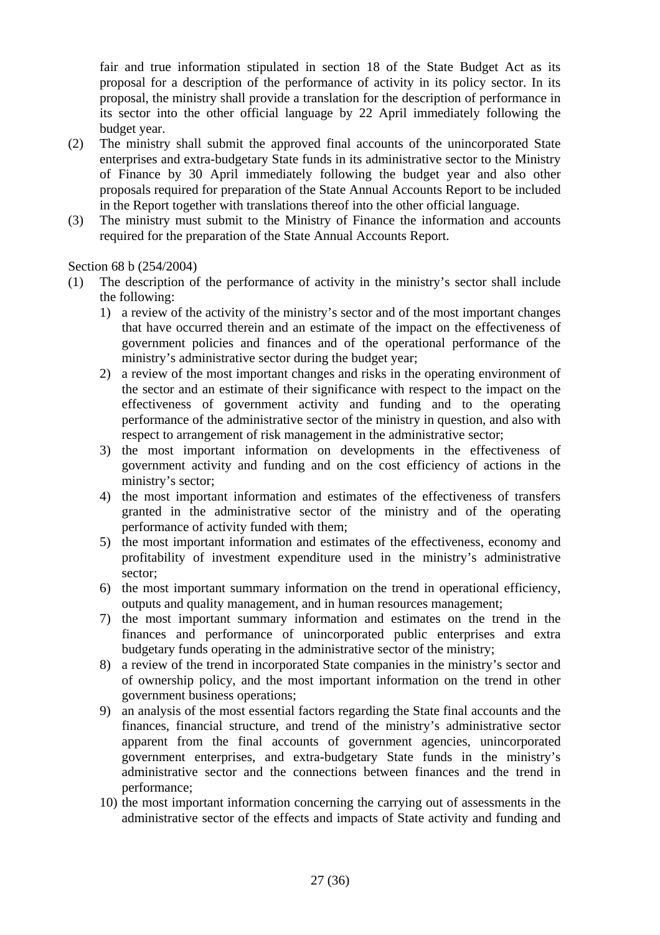fair and true information stipulated in section 18 of the State Budget Act as its proposal for a description of the performance of activity in its policy sector. In its proposal, the ministry shall provide a translation for the description of performance in its sector into the other official language by 22 April immediately following the budget year.

- (2) The ministry shall submit the approved final accounts of the unincorporated State enterprises and extra-budgetary State funds in its administrative sector to the Ministry of Finance by 30 April immediately following the budget year and also other proposals required for preparation of the State Annual Accounts Report to be included in the Report together with translations thereof into the other official language.
- (3) The ministry must submit to the Ministry of Finance the information and accounts required for the preparation of the State Annual Accounts Report.

# Section 68 b (254/2004)

- (1) The description of the performance of activity in the ministry's sector shall include the following:
	- 1) a review of the activity of the ministry's sector and of the most important changes that have occurred therein and an estimate of the impact on the effectiveness of government policies and finances and of the operational performance of the ministry's administrative sector during the budget year;
	- 2) a review of the most important changes and risks in the operating environment of the sector and an estimate of their significance with respect to the impact on the effectiveness of government activity and funding and to the operating performance of the administrative sector of the ministry in question, and also with respect to arrangement of risk management in the administrative sector;
	- 3) the most important information on developments in the effectiveness of government activity and funding and on the cost efficiency of actions in the ministry's sector;
	- 4) the most important information and estimates of the effectiveness of transfers granted in the administrative sector of the ministry and of the operating performance of activity funded with them;
	- 5) the most important information and estimates of the effectiveness, economy and profitability of investment expenditure used in the ministry's administrative sector;
	- 6) the most important summary information on the trend in operational efficiency, outputs and quality management, and in human resources management;
	- 7) the most important summary information and estimates on the trend in the finances and performance of unincorporated public enterprises and extra budgetary funds operating in the administrative sector of the ministry;
	- 8) a review of the trend in incorporated State companies in the ministry's sector and of ownership policy, and the most important information on the trend in other government business operations;
	- 9) an analysis of the most essential factors regarding the State final accounts and the finances, financial structure, and trend of the ministry's administrative sector apparent from the final accounts of government agencies, unincorporated government enterprises, and extra-budgetary State funds in the ministry's administrative sector and the connections between finances and the trend in performance;
	- 10) the most important information concerning the carrying out of assessments in the administrative sector of the effects and impacts of State activity and funding and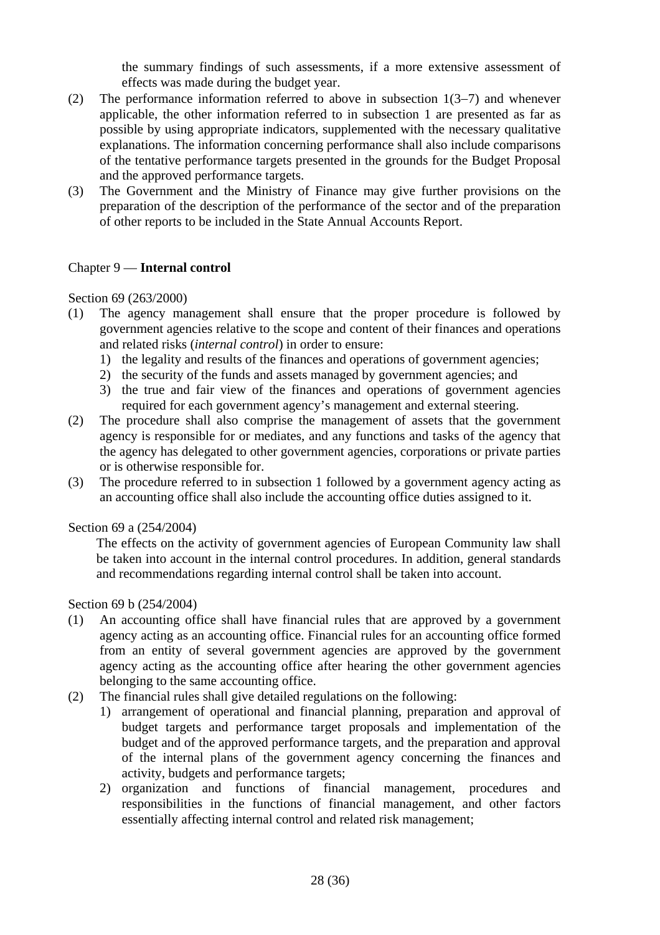the summary findings of such assessments, if a more extensive assessment of effects was made during the budget year.

- (2) The performance information referred to above in subsection 1(3−7) and whenever applicable, the other information referred to in subsection 1 are presented as far as possible by using appropriate indicators, supplemented with the necessary qualitative explanations. The information concerning performance shall also include comparisons of the tentative performance targets presented in the grounds for the Budget Proposal and the approved performance targets.
- (3) The Government and the Ministry of Finance may give further provisions on the preparation of the description of the performance of the sector and of the preparation of other reports to be included in the State Annual Accounts Report.

# Chapter 9 — **Internal control**

#### Section 69 (263/2000)

- (1) The agency management shall ensure that the proper procedure is followed by government agencies relative to the scope and content of their finances and operations and related risks (*internal control*) in order to ensure:
	- 1) the legality and results of the finances and operations of government agencies;
	- 2) the security of the funds and assets managed by government agencies; and
	- 3) the true and fair view of the finances and operations of government agencies required for each government agency's management and external steering.
- (2) The procedure shall also comprise the management of assets that the government agency is responsible for or mediates, and any functions and tasks of the agency that the agency has delegated to other government agencies, corporations or private parties or is otherwise responsible for.
- (3) The procedure referred to in subsection 1 followed by a government agency acting as an accounting office shall also include the accounting office duties assigned to it.

#### Section 69 a (254/2004)

 The effects on the activity of government agencies of European Community law shall be taken into account in the internal control procedures. In addition, general standards and recommendations regarding internal control shall be taken into account.

#### Section 69 b (254/2004)

- (1) An accounting office shall have financial rules that are approved by a government agency acting as an accounting office. Financial rules for an accounting office formed from an entity of several government agencies are approved by the government agency acting as the accounting office after hearing the other government agencies belonging to the same accounting office.
- (2) The financial rules shall give detailed regulations on the following:
	- 1) arrangement of operational and financial planning, preparation and approval of budget targets and performance target proposals and implementation of the budget and of the approved performance targets, and the preparation and approval of the internal plans of the government agency concerning the finances and activity, budgets and performance targets;
	- 2) organization and functions of financial management, procedures and responsibilities in the functions of financial management, and other factors essentially affecting internal control and related risk management;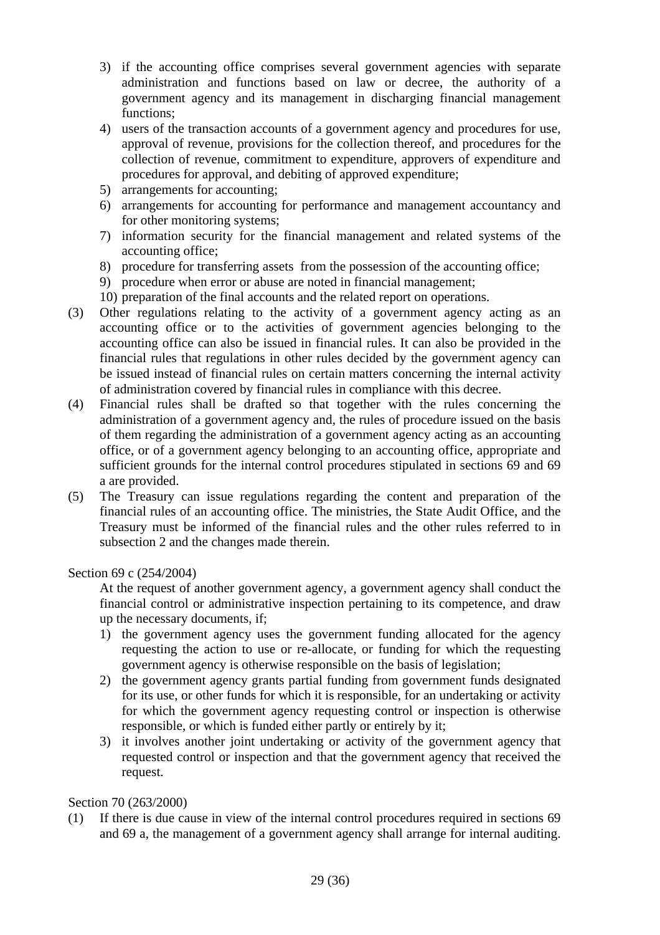- 3) if the accounting office comprises several government agencies with separate administration and functions based on law or decree, the authority of a government agency and its management in discharging financial management functions;
- 4) users of the transaction accounts of a government agency and procedures for use, approval of revenue, provisions for the collection thereof, and procedures for the collection of revenue, commitment to expenditure, approvers of expenditure and procedures for approval, and debiting of approved expenditure;
- 5) arrangements for accounting;
- 6) arrangements for accounting for performance and management accountancy and for other monitoring systems;
- 7) information security for the financial management and related systems of the accounting office;
- 8) procedure for transferring assets from the possession of the accounting office;
- 9) procedure when error or abuse are noted in financial management;
- 10) preparation of the final accounts and the related report on operations.
- (3) Other regulations relating to the activity of a government agency acting as an accounting office or to the activities of government agencies belonging to the accounting office can also be issued in financial rules. It can also be provided in the financial rules that regulations in other rules decided by the government agency can be issued instead of financial rules on certain matters concerning the internal activity of administration covered by financial rules in compliance with this decree.
- (4) Financial rules shall be drafted so that together with the rules concerning the administration of a government agency and, the rules of procedure issued on the basis of them regarding the administration of a government agency acting as an accounting office, or of a government agency belonging to an accounting office, appropriate and sufficient grounds for the internal control procedures stipulated in sections 69 and 69 a are provided.
- (5) The Treasury can issue regulations regarding the content and preparation of the financial rules of an accounting office. The ministries, the State Audit Office, and the Treasury must be informed of the financial rules and the other rules referred to in subsection 2 and the changes made therein.

#### Section 69 c (254/2004)

 At the request of another government agency, a government agency shall conduct the financial control or administrative inspection pertaining to its competence, and draw up the necessary documents, if;

- 1) the government agency uses the government funding allocated for the agency requesting the action to use or re-allocate, or funding for which the requesting government agency is otherwise responsible on the basis of legislation;
- 2) the government agency grants partial funding from government funds designated for its use, or other funds for which it is responsible, for an undertaking or activity for which the government agency requesting control or inspection is otherwise responsible, or which is funded either partly or entirely by it;
- 3) it involves another joint undertaking or activity of the government agency that requested control or inspection and that the government agency that received the request.

#### Section 70 (263/2000)

(1) If there is due cause in view of the internal control procedures required in sections 69 and 69 a, the management of a government agency shall arrange for internal auditing.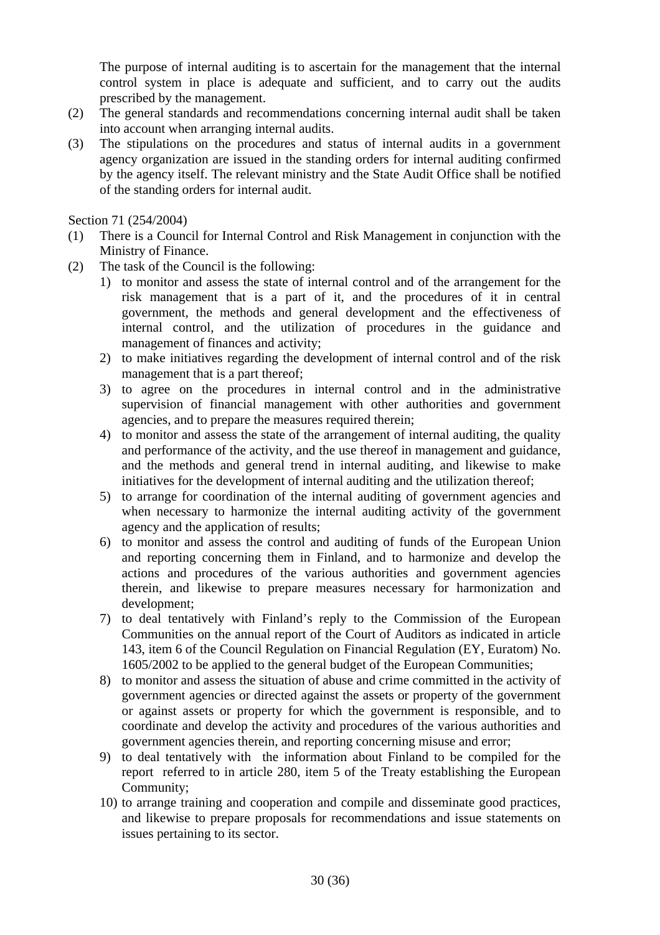The purpose of internal auditing is to ascertain for the management that the internal control system in place is adequate and sufficient, and to carry out the audits prescribed by the management.

- (2) The general standards and recommendations concerning internal audit shall be taken into account when arranging internal audits.
- (3) The stipulations on the procedures and status of internal audits in a government agency organization are issued in the standing orders for internal auditing confirmed by the agency itself. The relevant ministry and the State Audit Office shall be notified of the standing orders for internal audit.

Section 71 (254/2004)

- (1) There is a Council for Internal Control and Risk Management in conjunction with the Ministry of Finance.
- (2) The task of the Council is the following:
	- 1) to monitor and assess the state of internal control and of the arrangement for the risk management that is a part of it, and the procedures of it in central government, the methods and general development and the effectiveness of internal control, and the utilization of procedures in the guidance and management of finances and activity;
	- 2) to make initiatives regarding the development of internal control and of the risk management that is a part thereof;
	- 3) to agree on the procedures in internal control and in the administrative supervision of financial management with other authorities and government agencies, and to prepare the measures required therein;
	- 4) to monitor and assess the state of the arrangement of internal auditing, the quality and performance of the activity, and the use thereof in management and guidance, and the methods and general trend in internal auditing, and likewise to make initiatives for the development of internal auditing and the utilization thereof;
	- 5) to arrange for coordination of the internal auditing of government agencies and when necessary to harmonize the internal auditing activity of the government agency and the application of results;
	- 6) to monitor and assess the control and auditing of funds of the European Union and reporting concerning them in Finland, and to harmonize and develop the actions and procedures of the various authorities and government agencies therein, and likewise to prepare measures necessary for harmonization and development;
	- 7) to deal tentatively with Finland's reply to the Commission of the European Communities on the annual report of the Court of Auditors as indicated in article 143, item 6 of the Council Regulation on Financial Regulation (EY, Euratom) No. 1605/2002 to be applied to the general budget of the European Communities;
	- 8) to monitor and assess the situation of abuse and crime committed in the activity of government agencies or directed against the assets or property of the government or against assets or property for which the government is responsible, and to coordinate and develop the activity and procedures of the various authorities and government agencies therein, and reporting concerning misuse and error;
	- 9) to deal tentatively with the information about Finland to be compiled for the report referred to in article 280, item 5 of the Treaty establishing the European Community;
	- 10) to arrange training and cooperation and compile and disseminate good practices, and likewise to prepare proposals for recommendations and issue statements on issues pertaining to its sector.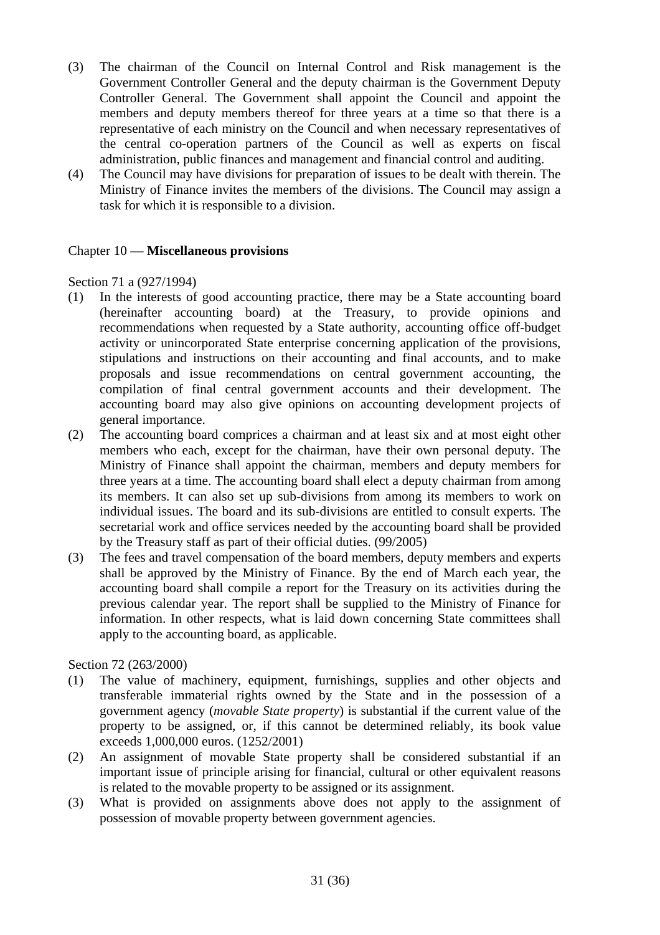- (3) The chairman of the Council on Internal Control and Risk management is the Government Controller General and the deputy chairman is the Government Deputy Controller General. The Government shall appoint the Council and appoint the members and deputy members thereof for three years at a time so that there is a representative of each ministry on the Council and when necessary representatives of the central co-operation partners of the Council as well as experts on fiscal administration, public finances and management and financial control and auditing.
- (4) The Council may have divisions for preparation of issues to be dealt with therein. The Ministry of Finance invites the members of the divisions. The Council may assign a task for which it is responsible to a division.

# Chapter 10 — **Miscellaneous provisions**

Section 71 a (927/1994)

- (1) In the interests of good accounting practice, there may be a State accounting board (hereinafter accounting board) at the Treasury, to provide opinions and recommendations when requested by a State authority, accounting office off-budget activity or unincorporated State enterprise concerning application of the provisions, stipulations and instructions on their accounting and final accounts, and to make proposals and issue recommendations on central government accounting, the compilation of final central government accounts and their development. The accounting board may also give opinions on accounting development projects of general importance.
- (2) The accounting board comprices a chairman and at least six and at most eight other members who each, except for the chairman, have their own personal deputy. The Ministry of Finance shall appoint the chairman, members and deputy members for three years at a time. The accounting board shall elect a deputy chairman from among its members. It can also set up sub-divisions from among its members to work on individual issues. The board and its sub-divisions are entitled to consult experts. The secretarial work and office services needed by the accounting board shall be provided by the Treasury staff as part of their official duties. (99/2005)
- (3) The fees and travel compensation of the board members, deputy members and experts shall be approved by the Ministry of Finance. By the end of March each year, the accounting board shall compile a report for the Treasury on its activities during the previous calendar year. The report shall be supplied to the Ministry of Finance for information. In other respects, what is laid down concerning State committees shall apply to the accounting board, as applicable.

Section 72 (263/2000)

- (1) The value of machinery, equipment, furnishings, supplies and other objects and transferable immaterial rights owned by the State and in the possession of a government agency (*movable State property*) is substantial if the current value of the property to be assigned, or, if this cannot be determined reliably, its book value exceeds 1,000,000 euros. (1252/2001)
- (2) An assignment of movable State property shall be considered substantial if an important issue of principle arising for financial, cultural or other equivalent reasons is related to the movable property to be assigned or its assignment.
- (3) What is provided on assignments above does not apply to the assignment of possession of movable property between government agencies.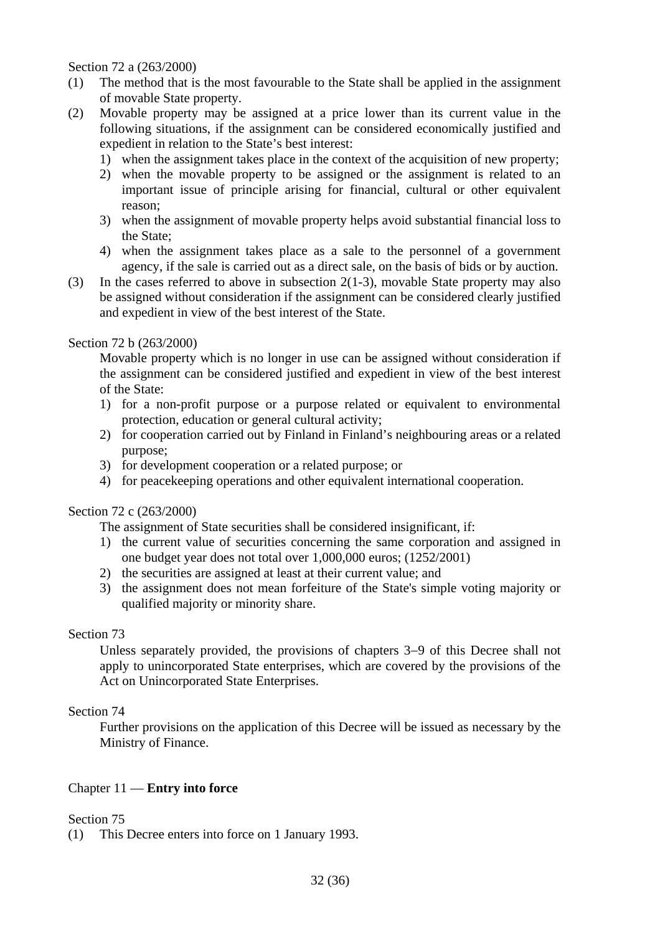Section 72 a (263/2000)

- (1) The method that is the most favourable to the State shall be applied in the assignment of movable State property.
- (2) Movable property may be assigned at a price lower than its current value in the following situations, if the assignment can be considered economically justified and expedient in relation to the State's best interest:
	- 1) when the assignment takes place in the context of the acquisition of new property;
	- 2) when the movable property to be assigned or the assignment is related to an important issue of principle arising for financial, cultural or other equivalent reason;
	- 3) when the assignment of movable property helps avoid substantial financial loss to the State;
	- 4) when the assignment takes place as a sale to the personnel of a government agency, if the sale is carried out as a direct sale, on the basis of bids or by auction.
- (3) In the cases referred to above in subsection 2(1-3), movable State property may also be assigned without consideration if the assignment can be considered clearly justified and expedient in view of the best interest of the State.

Section 72 b (263/2000)

 Movable property which is no longer in use can be assigned without consideration if the assignment can be considered justified and expedient in view of the best interest of the State:

- 1) for a non-profit purpose or a purpose related or equivalent to environmental protection, education or general cultural activity;
- 2) for cooperation carried out by Finland in Finland's neighbouring areas or a related purpose;
- 3) for development cooperation or a related purpose; or
- 4) for peacekeeping operations and other equivalent international cooperation.

#### Section 72 c (263/2000)

The assignment of State securities shall be considered insignificant, if:

- 1) the current value of securities concerning the same corporation and assigned in one budget year does not total over 1,000,000 euros; (1252/2001)
- 2) the securities are assigned at least at their current value; and
- 3) the assignment does not mean forfeiture of the State's simple voting majority or qualified majority or minority share.

#### Section 73

 Unless separately provided, the provisions of chapters 3−9 of this Decree shall not apply to unincorporated State enterprises, which are covered by the provisions of the Act on Unincorporated State Enterprises.

#### Section 74

 Further provisions on the application of this Decree will be issued as necessary by the Ministry of Finance.

#### Chapter 11 — **Entry into force**

Section 75

(1) This Decree enters into force on 1 January 1993.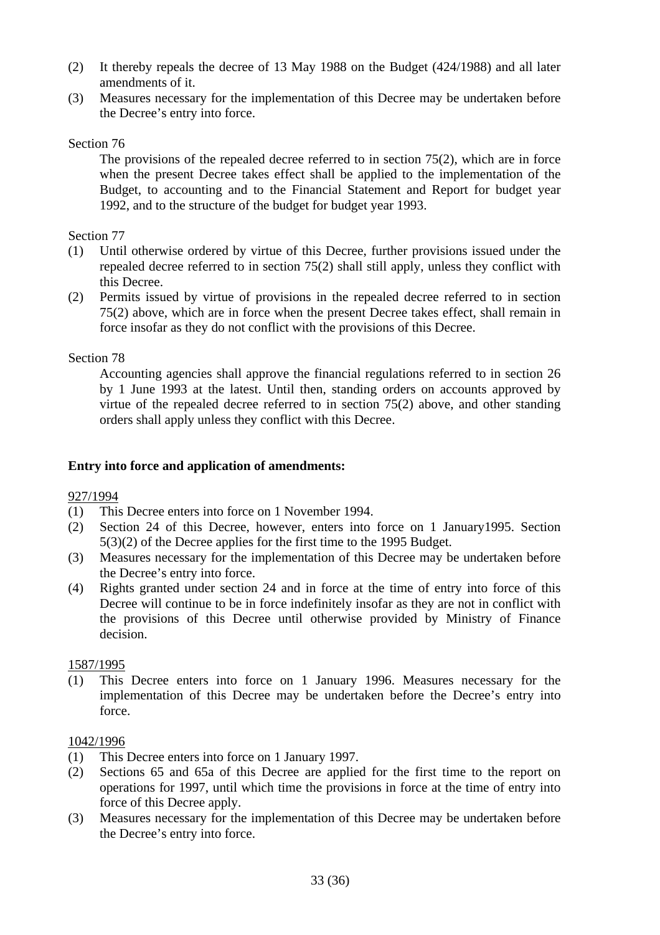- (2) It thereby repeals the decree of 13 May 1988 on the Budget (424/1988) and all later amendments of it.
- (3) Measures necessary for the implementation of this Decree may be undertaken before the Decree's entry into force.

# Section 76

 The provisions of the repealed decree referred to in section 75(2), which are in force when the present Decree takes effect shall be applied to the implementation of the Budget, to accounting and to the Financial Statement and Report for budget year 1992, and to the structure of the budget for budget year 1993.

### Section 77

- (1) Until otherwise ordered by virtue of this Decree, further provisions issued under the repealed decree referred to in section 75(2) shall still apply, unless they conflict with this Decree.
- (2) Permits issued by virtue of provisions in the repealed decree referred to in section 75(2) above, which are in force when the present Decree takes effect, shall remain in force insofar as they do not conflict with the provisions of this Decree.

# Section 78

 Accounting agencies shall approve the financial regulations referred to in section 26 by 1 June 1993 at the latest. Until then, standing orders on accounts approved by virtue of the repealed decree referred to in section 75(2) above, and other standing orders shall apply unless they conflict with this Decree.

# **Entry into force and application of amendments:**

#### 927/1994

- (1) This Decree enters into force on 1 November 1994.
- (2) Section 24 of this Decree, however, enters into force on 1 January1995. Section 5(3)(2) of the Decree applies for the first time to the 1995 Budget.
- (3) Measures necessary for the implementation of this Decree may be undertaken before the Decree's entry into force.
- (4) Rights granted under section 24 and in force at the time of entry into force of this Decree will continue to be in force indefinitely insofar as they are not in conflict with the provisions of this Decree until otherwise provided by Ministry of Finance decision.

#### 1587/1995

(1) This Decree enters into force on 1 January 1996. Measures necessary for the implementation of this Decree may be undertaken before the Decree's entry into force.

#### 1042/1996

- (1) This Decree enters into force on 1 January 1997.
- (2) Sections 65 and 65a of this Decree are applied for the first time to the report on operations for 1997, until which time the provisions in force at the time of entry into force of this Decree apply.
- (3) Measures necessary for the implementation of this Decree may be undertaken before the Decree's entry into force.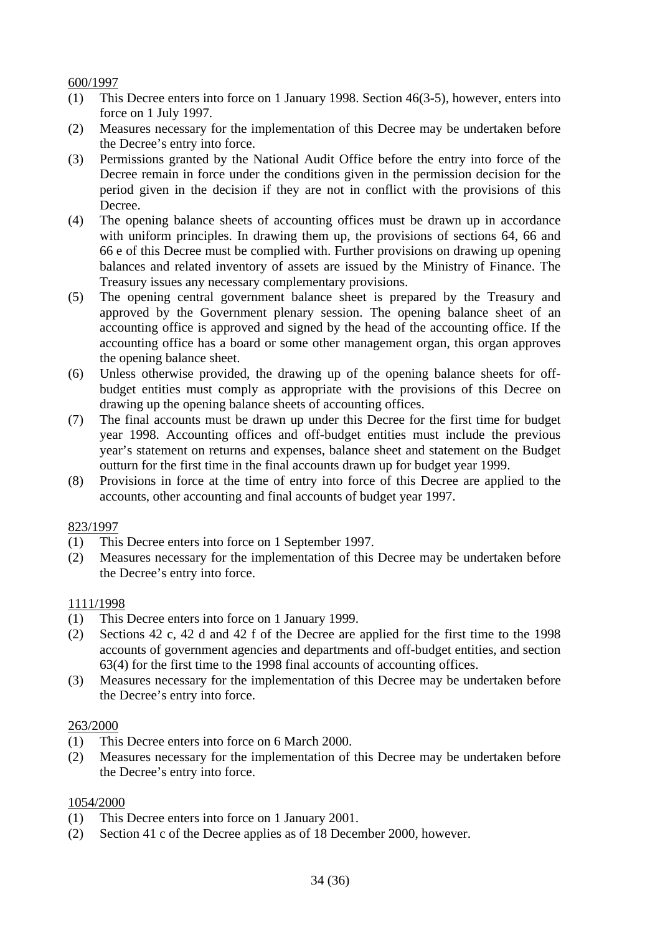# 600/1997

- (1) This Decree enters into force on 1 January 1998. Section 46(3-5), however, enters into force on 1 July 1997.
- (2) Measures necessary for the implementation of this Decree may be undertaken before the Decree's entry into force.
- (3) Permissions granted by the National Audit Office before the entry into force of the Decree remain in force under the conditions given in the permission decision for the period given in the decision if they are not in conflict with the provisions of this Decree.
- (4) The opening balance sheets of accounting offices must be drawn up in accordance with uniform principles. In drawing them up, the provisions of sections 64, 66 and 66 e of this Decree must be complied with. Further provisions on drawing up opening balances and related inventory of assets are issued by the Ministry of Finance. The Treasury issues any necessary complementary provisions.
- (5) The opening central government balance sheet is prepared by the Treasury and approved by the Government plenary session. The opening balance sheet of an accounting office is approved and signed by the head of the accounting office. If the accounting office has a board or some other management organ, this organ approves the opening balance sheet.
- (6) Unless otherwise provided, the drawing up of the opening balance sheets for offbudget entities must comply as appropriate with the provisions of this Decree on drawing up the opening balance sheets of accounting offices.
- (7) The final accounts must be drawn up under this Decree for the first time for budget year 1998. Accounting offices and off-budget entities must include the previous year's statement on returns and expenses, balance sheet and statement on the Budget outturn for the first time in the final accounts drawn up for budget year 1999.
- (8) Provisions in force at the time of entry into force of this Decree are applied to the accounts, other accounting and final accounts of budget year 1997.

#### 823/1997

- (1) This Decree enters into force on 1 September 1997.
- (2) Measures necessary for the implementation of this Decree may be undertaken before the Decree's entry into force.

#### 1111/1998

- (1) This Decree enters into force on 1 January 1999.
- (2) Sections 42 c, 42 d and 42 f of the Decree are applied for the first time to the 1998 accounts of government agencies and departments and off-budget entities, and section 63(4) for the first time to the 1998 final accounts of accounting offices.
- (3) Measures necessary for the implementation of this Decree may be undertaken before the Decree's entry into force.

#### 263/2000

- (1) This Decree enters into force on 6 March 2000.
- (2) Measures necessary for the implementation of this Decree may be undertaken before the Decree's entry into force.

# 1054/2000

- (1) This Decree enters into force on 1 January 2001.
- (2) Section 41 c of the Decree applies as of 18 December 2000, however.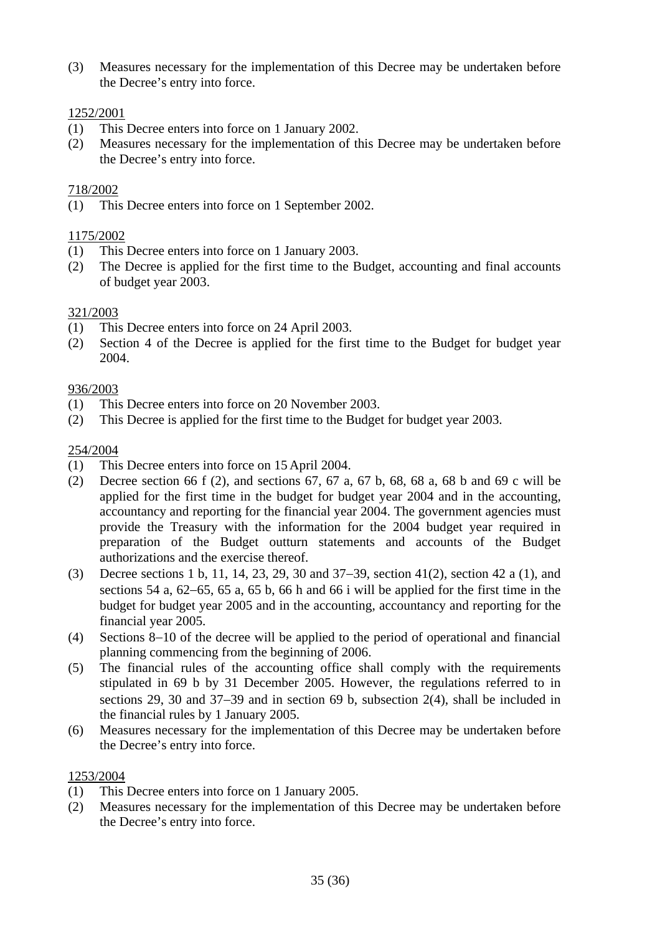(3) Measures necessary for the implementation of this Decree may be undertaken before the Decree's entry into force.

# 1252/2001

- (1) This Decree enters into force on 1 January 2002.
- (2) Measures necessary for the implementation of this Decree may be undertaken before the Decree's entry into force.

# 718/2002

(1) This Decree enters into force on 1 September 2002.

# 1175/2002

- (1) This Decree enters into force on 1 January 2003.
- (2) The Decree is applied for the first time to the Budget, accounting and final accounts of budget year 2003.

# 321/2003

- (1) This Decree enters into force on 24 April 2003.
- (2) Section 4 of the Decree is applied for the first time to the Budget for budget year 2004.

# 936/2003

- (1) This Decree enters into force on 20 November 2003.
- (2) This Decree is applied for the first time to the Budget for budget year 2003.

#### 254/2004

- (1) This Decree enters into force on 15 April 2004.
- (2) Decree section 66 f (2), and sections 67, 67 a, 67 b, 68, 68 a, 68 b and 69 c will be applied for the first time in the budget for budget year 2004 and in the accounting, accountancy and reporting for the financial year 2004. The government agencies must provide the Treasury with the information for the 2004 budget year required in preparation of the Budget outturn statements and accounts of the Budget authorizations and the exercise thereof.
- (3) Decree sections 1 b, 11, 14, 23, 29, 30 and 37−39, section 41(2), section 42 a (1), and sections 54 a, 62−65, 65 a, 65 b, 66 h and 66 i will be applied for the first time in the budget for budget year 2005 and in the accounting, accountancy and reporting for the financial year 2005.
- (4) Sections 8−10 of the decree will be applied to the period of operational and financial planning commencing from the beginning of 2006.
- (5) The financial rules of the accounting office shall comply with the requirements stipulated in 69 b by 31 December 2005. However, the regulations referred to in sections 29, 30 and 37−39 and in section 69 b, subsection 2(4), shall be included in the financial rules by 1 January 2005.
- (6) Measures necessary for the implementation of this Decree may be undertaken before the Decree's entry into force.

#### 1253/2004

- (1) This Decree enters into force on 1 January 2005.
- (2) Measures necessary for the implementation of this Decree may be undertaken before the Decree's entry into force.